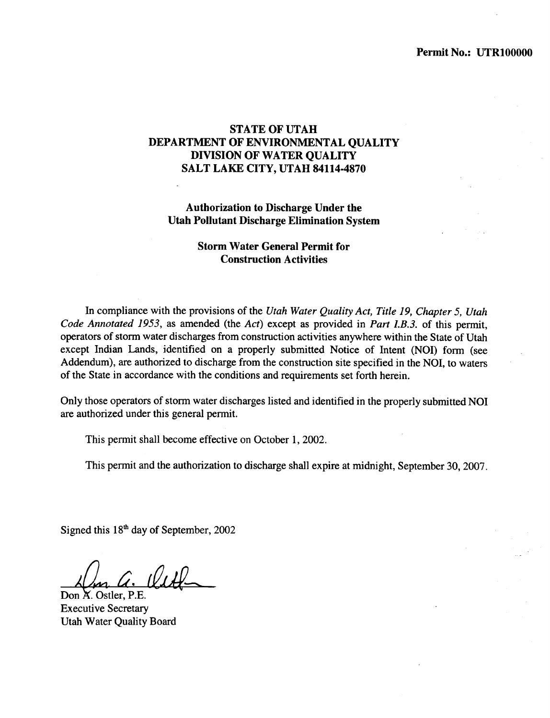## STATE OF UTAH DEPARTMENT OF ENVIRONMENTAL QUALITY DIVISION OF WATER QUALITY SALT LAKE CITY, UTAH 84114-4870

### Authorization to Discharge Under the Utah Pollutant Discharge Elimination System

### Storm Water General Permit for Construction Activities

In compliance with the provisions of the Utah Water Quality Act, Title 19, Chapter 5, Utah Code Annotated 1953, as amended (the Act) except as provided in Part I.B.3. of this permit, operators of storm water discharges from construction activities anywhere within the State of Utah except Indian Lands, identified on a properly submitted Notice of Intent (NOl) form (see Addendum), are authorized to discharge from the construction site specified in the NOl, to waters of the State in accordance with the conditions and requirements set forth herein.

Only those operators of storm water discharges listed and identified in the properly submitted NOI are authorized under this general permit.

This permit shall become effective on October 1, 2002.

This permit and the authorization to discharge shall expire at midnight, September 30, 2007.

Signed this  $18<sup>th</sup>$  day of September, 2002

Don  $X$ . Ostler, P.E. Executive Secretary Utah Water Quality Board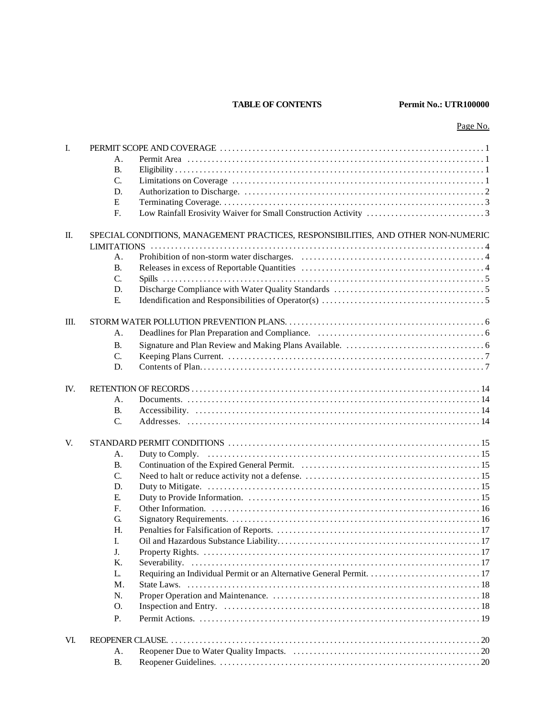### **TABLE OF CONTENTS Permit No.: UTR100000**

### Page No.

| I.   |                                                                                   |                 |  |  |  |
|------|-----------------------------------------------------------------------------------|-----------------|--|--|--|
|      | А.                                                                                |                 |  |  |  |
|      | <b>B.</b>                                                                         |                 |  |  |  |
|      | C.                                                                                |                 |  |  |  |
|      | D.                                                                                |                 |  |  |  |
|      | ${\bf E}$                                                                         |                 |  |  |  |
|      | F.                                                                                |                 |  |  |  |
| П.   | SPECIAL CONDITIONS, MANAGEMENT PRACTICES, RESPONSIBILITIES, AND OTHER NON-NUMERIC |                 |  |  |  |
|      |                                                                                   |                 |  |  |  |
|      | A.                                                                                |                 |  |  |  |
|      | <b>B.</b>                                                                         |                 |  |  |  |
|      | C.                                                                                |                 |  |  |  |
|      | D.                                                                                |                 |  |  |  |
|      | E.                                                                                |                 |  |  |  |
| III. |                                                                                   |                 |  |  |  |
|      | А.                                                                                |                 |  |  |  |
|      | <b>B.</b>                                                                         |                 |  |  |  |
|      | C.                                                                                |                 |  |  |  |
|      | D.                                                                                |                 |  |  |  |
|      |                                                                                   |                 |  |  |  |
| IV.  |                                                                                   |                 |  |  |  |
|      | A.                                                                                |                 |  |  |  |
|      | <b>B.</b>                                                                         |                 |  |  |  |
|      | C.                                                                                |                 |  |  |  |
| V.   |                                                                                   |                 |  |  |  |
|      | A.                                                                                | Duty to Comply. |  |  |  |
|      | <b>B.</b>                                                                         |                 |  |  |  |
|      | C.                                                                                |                 |  |  |  |
|      | D.                                                                                |                 |  |  |  |
|      | Е.                                                                                |                 |  |  |  |
|      | F.                                                                                |                 |  |  |  |
|      | G.                                                                                |                 |  |  |  |
|      | H.                                                                                |                 |  |  |  |
|      | I.                                                                                |                 |  |  |  |
|      | J.                                                                                |                 |  |  |  |
|      | K.                                                                                |                 |  |  |  |
|      | L.                                                                                |                 |  |  |  |
|      | M.                                                                                |                 |  |  |  |
|      | N.                                                                                |                 |  |  |  |
|      | O.                                                                                |                 |  |  |  |
|      | P.                                                                                |                 |  |  |  |
| VI.  |                                                                                   |                 |  |  |  |
|      | А.                                                                                |                 |  |  |  |
|      | <b>B.</b>                                                                         |                 |  |  |  |
|      |                                                                                   |                 |  |  |  |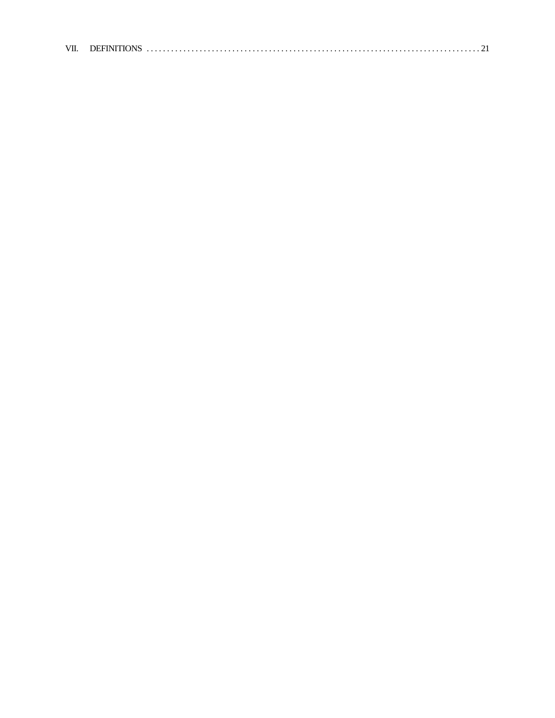| VII. |  |  |  |
|------|--|--|--|
|------|--|--|--|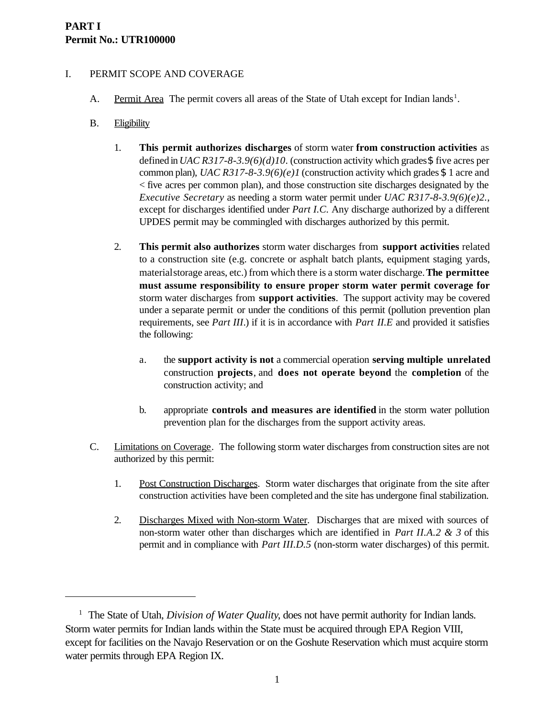## I. PERMIT SCOPE AND COVERAGE

- A. Permit Area The permit covers all areas of the State of Utah except for Indian lands<sup>1</sup>.
- B. Eligibility
	- 1. **This permit authorizes discharges** of storm water **from construction activities** as defined in *UAC R317-8-3.9(6)(d)10*. (construction activity which grades \$ five acres per common plan), *UAC R317-8-3.9(6)(e)1* (construction activity which grades \$ 1 acre and < five acres per common plan), and those construction site discharges designated by the *Executive Secretary* as needing a storm water permit under *UAC R317-8-3.9(6)(e)2.*, except for discharges identified under *Part I.C.* Any discharge authorized by a different UPDES permit may be commingled with discharges authorized by this permit.
	- 2. **This permit also authorizes** storm water discharges from **support activities** related to a construction site (e.g. concrete or asphalt batch plants, equipment staging yards, material storage areas, etc.) from which there is a storm water discharge. **The permittee must assume responsibility to ensure proper storm water permit coverage for** storm water discharges from **support activities**. The support activity may be covered under a separate permit or under the conditions of this permit (pollution prevention plan requirements, see *Part III*.) if it is in accordance with *Part II.E* and provided it satisfies the following:
		- a. the **support activity is not** a commercial operation **serving multiple unrelated** construction **projects**, and **does not operate beyond** the **completion** of the construction activity; and
		- b. appropriate **controls and measures are identified** in the storm water pollution prevention plan for the discharges from the support activity areas.
- C. Limitations on Coverage. The following storm water discharges from construction sites are not authorized by this permit:
	- 1. Post Construction Discharges. Storm water discharges that originate from the site after construction activities have been completed and the site has undergone final stabilization.
	- 2. Discharges Mixed with Non-storm Water. Discharges that are mixed with sources of non-storm water other than discharges which are identified in *Part II.A.2 & 3* of this permit and in compliance with *Part III.D.5* (non-storm water discharges) of this permit.

<sup>&</sup>lt;sup>1</sup> The State of Utah, *Division of Water Quality*, does not have permit authority for Indian lands. Storm water permits for Indian lands within the State must be acquired through EPA Region VIII, except for facilities on the Navajo Reservation or on the Goshute Reservation which must acquire storm water permits through EPA Region IX.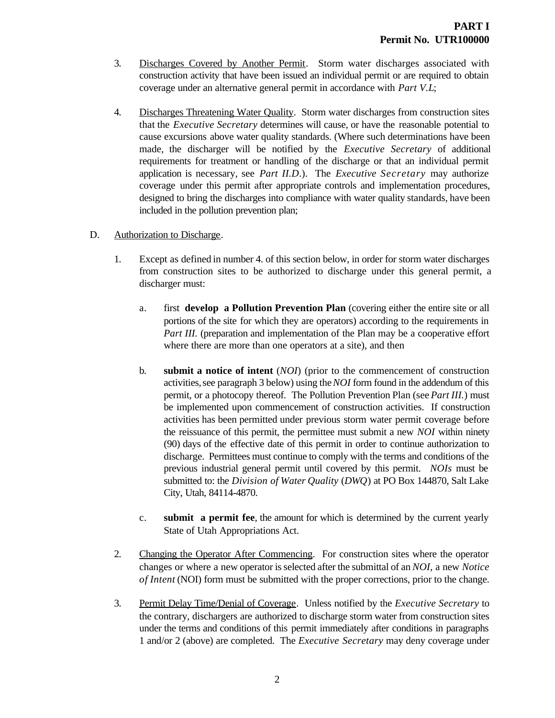- 3. Discharges Covered by Another Permit. Storm water discharges associated with construction activity that have been issued an individual permit or are required to obtain coverage under an alternative general permit in accordance with *Part V.L*;
- 4. Discharges Threatening Water Quality. Storm water discharges from construction sites that the *Executive Secretary* determines will cause, or have the reasonable potential to cause excursions above water quality standards. (Where such determinations have been made, the discharger will be notified by the *Executive Secretary* of additional requirements for treatment or handling of the discharge or that an individual permit application is necessary, see *Part II.D*.). The *Executive Secretary* may authorize coverage under this permit after appropriate controls and implementation procedures, designed to bring the discharges into compliance with water quality standards, have been included in the pollution prevention plan;
- D. Authorization to Discharge.
	- 1. Except as defined in number 4. of this section below, in order for storm water discharges from construction sites to be authorized to discharge under this general permit, a discharger must:
		- a. first **develop a Pollution Prevention Plan** (covering either the entire site or all portions of the site for which they are operators) according to the requirements in *Part III.* (preparation and implementation of the Plan may be a cooperative effort where there are more than one operators at a site), and then
		- b. **submit a notice of intent** (*NOI*) (prior to the commencement of construction activities, see paragraph 3 below) using the *NOI* form found in the addendum of this permit, or a photocopy thereof. The Pollution Prevention Plan (see *Part III.*) must be implemented upon commencement of construction activities. If construction activities has been permitted under previous storm water permit coverage before the reissuance of this permit, the permittee must submit a new *NOI* within ninety (90) days of the effective date of this permit in order to continue authorization to discharge. Permittees must continue to comply with the terms and conditions of the previous industrial general permit until covered by this permit. *NOIs* must be submitted to: the *Division of Water Quality* (*DWQ*) at PO Box 144870, Salt Lake City, Utah, 84114-4870.
		- c. **submit a permit fee**, the amount for which is determined by the current yearly State of Utah Appropriations Act.
	- 2. Changing the Operator After Commencing. For construction sites where the operator changes or where a new operator is selected after the submittal of an *NOI*, a new *Notice of Intent* (NOI) form must be submitted with the proper corrections, prior to the change.
	- 3. Permit Delay Time/Denial of Coverage. Unless notified by the *Executive Secretary* to the contrary, dischargers are authorized to discharge storm water from construction sites under the terms and conditions of this permit immediately after conditions in paragraphs 1 and/or 2 (above) are completed. The *Executive Secretary* may deny coverage under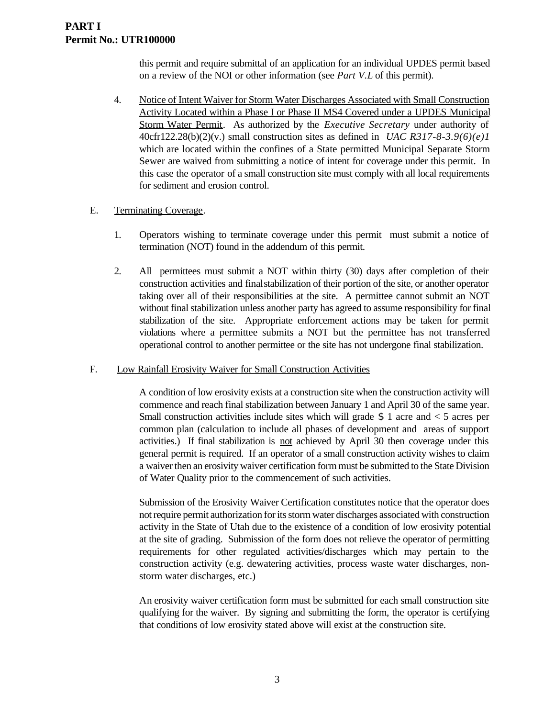this permit and require submittal of an application for an individual UPDES permit based on a review of the NOI or other information (see *Part V.L* of this permit).

4. Notice of Intent Waiver for Storm Water Discharges Associated with Small Construction Activity Located within a Phase I or Phase II MS4 Covered under a UPDES Municipal Storm Water Permit. As authorized by the *Executive Secretary* under authority of 40cfr122.28(b)(2)(v.) small construction sites as defined in *UAC R317-8-3.9(6)(e)1* which are located within the confines of a State permitted Municipal Separate Storm Sewer are waived from submitting a notice of intent for coverage under this permit. In this case the operator of a small construction site must comply with all local requirements for sediment and erosion control.

### E. Terminating Coverage.

- 1. Operators wishing to terminate coverage under this permit must submit a notice of termination (NOT) found in the addendum of this permit.
- 2. All permittees must submit a NOT within thirty (30) days after completion of their construction activities and final stabilization of their portion of the site, or another operator taking over all of their responsibilities at the site. A permittee cannot submit an NOT without final stabilization unless another party has agreed to assume responsibility for final stabilization of the site. Appropriate enforcement actions may be taken for permit violations where a permittee submits a NOT but the permittee has not transferred operational control to another permittee or the site has not undergone final stabilization.

### F. Low Rainfall Erosivity Waiver for Small Construction Activities

A condition of low erosivity exists at a construction site when the construction activity will commence and reach final stabilization between January 1 and April 30 of the same year. Small construction activities include sites which will grade  $\frac{1}{2}$  1 acre and  $\lt$  5 acres per common plan (calculation to include all phases of development and areas of support activities.) If final stabilization is not achieved by April 30 then coverage under this general permit is required. If an operator of a small construction activity wishes to claim a waiver then an erosivity waiver certification form must be submitted to the State Division of Water Quality prior to the commencement of such activities.

Submission of the Erosivity Waiver Certification constitutes notice that the operator does not require permit authorization for its storm water discharges associated with construction activity in the State of Utah due to the existence of a condition of low erosivity potential at the site of grading. Submission of the form does not relieve the operator of permitting requirements for other regulated activities/discharges which may pertain to the construction activity (e.g. dewatering activities, process waste water discharges, nonstorm water discharges, etc.)

An erosivity waiver certification form must be submitted for each small construction site qualifying for the waiver. By signing and submitting the form, the operator is certifying that conditions of low erosivity stated above will exist at the construction site.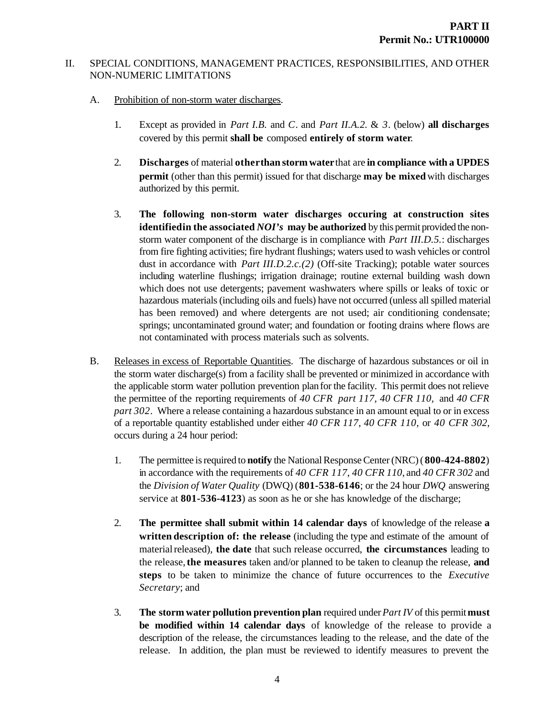### II. SPECIAL CONDITIONS, MANAGEMENT PRACTICES, RESPONSIBILITIES, AND OTHER NON-NUMERIC LIMITATIONS

- A. Prohibition of non-storm water discharges.
	- 1. Except as provided in *Part I.B.* and *C.* and *Part II.A.2.* & *3*. (below) **all discharges** covered by this permit **shall be** composed **entirely of storm water**.
	- 2. **Discharges** of material **other than storm water** that are **in compliance with a UPDES permit** (other than this permit) issued for that discharge **may be mixed** with discharges authorized by this permit.
	- 3. **The following non-storm water discharges occuring at construction sites identified in the associated** *NOI's* **may be authorized** by this permit provided the nonstorm water component of the discharge is in compliance with *Part III.D.5.*: discharges from fire fighting activities; fire hydrant flushings; waters used to wash vehicles or control dust in accordance with *Part III.D.2.c.(2)* (Off-site Tracking); potable water sources including waterline flushings; irrigation drainage; routine external building wash down which does not use detergents; pavement washwaters where spills or leaks of toxic or hazardous materials (including oils and fuels) have not occurred (unless all spilled material has been removed) and where detergents are not used; air conditioning condensate; springs; uncontaminated ground water; and foundation or footing drains where flows are not contaminated with process materials such as solvents.
- B. Releases in excess of Reportable Quantities. The discharge of hazardous substances or oil in the storm water discharge(s) from a facility shall be prevented or minimized in accordance with the applicable storm water pollution prevention plan for the facility. This permit does not relieve the permittee of the reporting requirements of *40 CFR part 117, 40 CFR 110,* and *40 CFR part 302*. Where a release containing a hazardous substance in an amount equal to or in excess of a reportable quantity established under either *40 CFR 117, 40 CFR 110,* or *40 CFR 302*, occurs during a 24 hour period:
	- 1. The permittee is required to **notify** the National Response Center (NRC) (**800-424-8802**) in accordance with the requirements of *40 CFR 117*, *40 CFR 110*, and *40 CFR 302* and the *Division of Water Quality* (DWQ) (**801-538-6146**; or the 24 hour *DWQ* answering service at **801-536-4123**) as soon as he or she has knowledge of the discharge;
	- 2. **The permittee shall submit within 14 calendar days** of knowledge of the release **a written description of: the release** (including the type and estimate of the amount of material released), **the date** that such release occurred, **the circumstances** leading to the release,**the measures** taken and/or planned to be taken to cleanup the release, **and steps** to be taken to minimize the chance of future occurrences to the *Executive Secretary*; and
	- 3. **The storm water pollution prevention plan** required under *Part IV* of this permit **must be modified within 14 calendar days** of knowledge of the release to provide a description of the release, the circumstances leading to the release, and the date of the release. In addition, the plan must be reviewed to identify measures to prevent the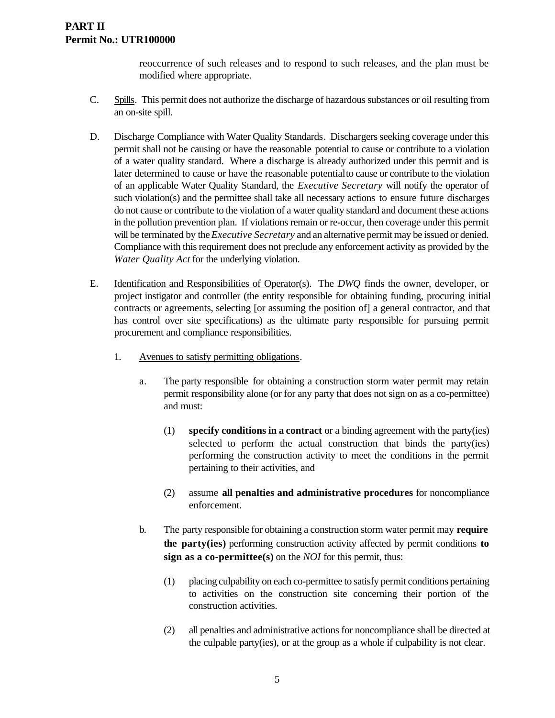reoccurrence of such releases and to respond to such releases, and the plan must be modified where appropriate.

- C. Spills. This permit does not authorize the discharge of hazardous substances or oil resulting from an on-site spill.
- D. Discharge Compliance with Water Quality Standards. Dischargers seeking coverage under this permit shall not be causing or have the reasonable potential to cause or contribute to a violation of a water quality standard. Where a discharge is already authorized under this permit and is later determined to cause or have the reasonable potential to cause or contribute to the violation of an applicable Water Quality Standard, the *Executive Secretary* will notify the operator of such violation(s) and the permittee shall take all necessary actions to ensure future discharges do not cause or contribute to the violation of a water quality standard and document these actions in the pollution prevention plan. If violations remain or re-occur, then coverage under this permit will be terminated by the *Executive Secretary* and an alternative permit may be issued or denied. Compliance with this requirement does not preclude any enforcement activity as provided by the *Water Quality Act* for the underlying violation.
- E. Identification and Responsibilities of Operator(s). The *DWQ* finds the owner, developer, or project instigator and controller (the entity responsible for obtaining funding, procuring initial contracts or agreements, selecting [or assuming the position of] a general contractor, and that has control over site specifications) as the ultimate party responsible for pursuing permit procurement and compliance responsibilities.
	- 1. Avenues to satisfy permitting obligations.
		- a. The party responsible for obtaining a construction storm water permit may retain permit responsibility alone (or for any party that does not sign on as a co-permittee) and must:
			- (1) **specify conditions in a contract** or a binding agreement with the party(ies) selected to perform the actual construction that binds the party(ies) performing the construction activity to meet the conditions in the permit pertaining to their activities, and
			- (2) assume **all penalties and administrative procedures** for noncompliance enforcement.
		- b. The party responsible for obtaining a construction storm water permit may **require the party(ies)** performing construction activity affected by permit conditions **to sign as a co-permittee(s)** on the *NOI* for this permit, thus:
			- (1) placing culpability on each co-permittee to satisfy permit conditions pertaining to activities on the construction site concerning their portion of the construction activities.
			- (2) all penalties and administrative actions for noncompliance shall be directed at the culpable party(ies), or at the group as a whole if culpability is not clear.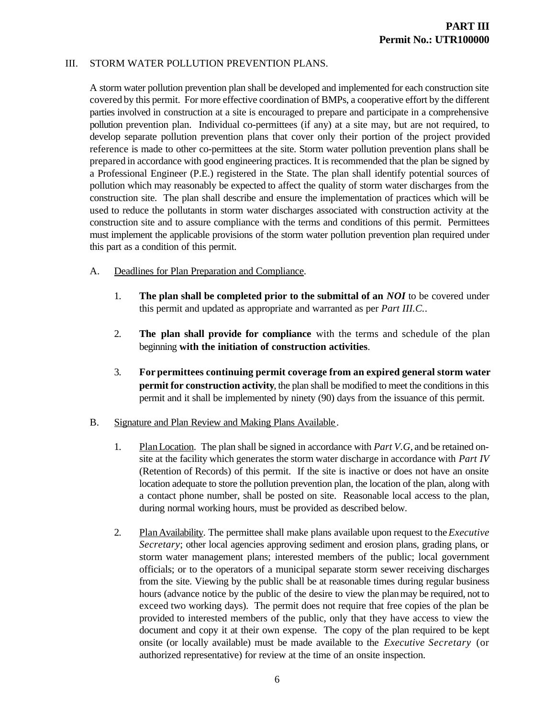### III. STORM WATER POLLUTION PREVENTION PLANS.

A storm water pollution prevention plan shall be developed and implemented for each construction site covered by this permit. For more effective coordination of BMPs, a cooperative effort by the different parties involved in construction at a site is encouraged to prepare and participate in a comprehensive pollution prevention plan. Individual co-permittees (if any) at a site may, but are not required, to develop separate pollution prevention plans that cover only their portion of the project provided reference is made to other co-permittees at the site. Storm water pollution prevention plans shall be prepared in accordance with good engineering practices. It is recommended that the plan be signed by a Professional Engineer (P.E.) registered in the State. The plan shall identify potential sources of pollution which may reasonably be expected to affect the quality of storm water discharges from the construction site. The plan shall describe and ensure the implementation of practices which will be used to reduce the pollutants in storm water discharges associated with construction activity at the construction site and to assure compliance with the terms and conditions of this permit. Permittees must implement the applicable provisions of the storm water pollution prevention plan required under this part as a condition of this permit.

- A. Deadlines for Plan Preparation and Compliance.
	- 1. **The plan shall be completed prior to the submittal of an** *NOI* to be covered under this permit and updated as appropriate and warranted as per *Part III.C.*.
	- 2. **The plan shall provide for compliance** with the terms and schedule of the plan beginning **with the initiation of construction activities**.
	- 3. **For permittees continuing permit coverage from an expired general storm water permit for construction activity**, the plan shall be modified to meet the conditions in this permit and it shall be implemented by ninety (90) days from the issuance of this permit.
- B. Signature and Plan Review and Making Plans Available .
	- 1. Plan Location. The plan shall be signed in accordance with *Part V.G*, and be retained onsite at the facility which generates the storm water discharge in accordance with *Part IV* (Retention of Records) of this permit. If the site is inactive or does not have an onsite location adequate to store the pollution prevention plan, the location of the plan, along with a contact phone number, shall be posted on site. Reasonable local access to the plan, during normal working hours, must be provided as described below.
	- 2. Plan Availability. The permittee shall make plans available upon request to the *Executive Secretary*; other local agencies approving sediment and erosion plans, grading plans, or storm water management plans; interested members of the public; local government officials; or to the operators of a municipal separate storm sewer receiving discharges from the site. Viewing by the public shall be at reasonable times during regular business hours (advance notice by the public of the desire to view the plan may be required, not to exceed two working days). The permit does not require that free copies of the plan be provided to interested members of the public, only that they have access to view the document and copy it at their own expense. The copy of the plan required to be kept onsite (or locally available) must be made available to the *Executive Secretary* (or authorized representative) for review at the time of an onsite inspection.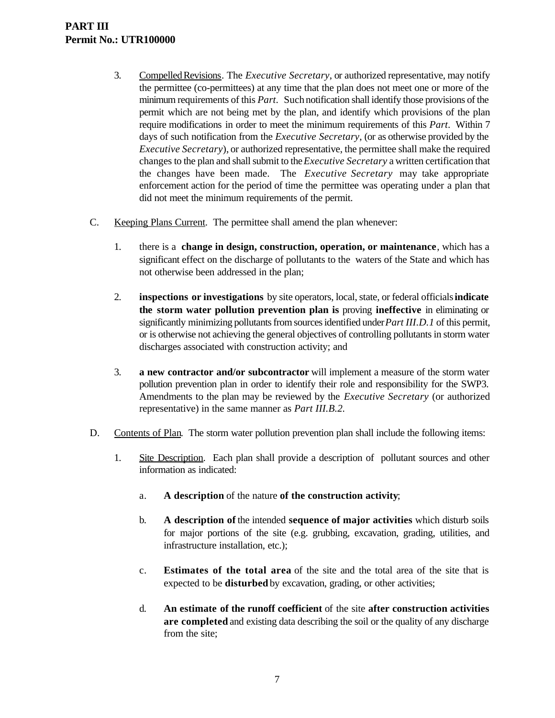- 3. Compelled Revisions. The *Executive Secretary*, or authorized representative, may notify the permittee (co-permittees) at any time that the plan does not meet one or more of the minimum requirements of this *Part*. Such notification shall identify those provisions of the permit which are not being met by the plan, and identify which provisions of the plan require modifications in order to meet the minimum requirements of this *Part*. Within 7 days of such notification from the *Executive Secretary*, (or as otherwise provided by the *Executive Secretary*), or authorized representative, the permittee shall make the required changes to the plan and shall submit to the *Executive Secretary* a written certification that the changes have been made. The *Executive Secretary* may take appropriate enforcement action for the period of time the permittee was operating under a plan that did not meet the minimum requirements of the permit.
- C. Keeping Plans Current. The permittee shall amend the plan whenever:
	- 1. there is a **change in design, construction, operation, or maintenance**, which has a significant effect on the discharge of pollutants to the waters of the State and which has not otherwise been addressed in the plan;
	- 2. **inspections or investigations** by site operators, local, state, or federal officials **indicate the storm water pollution prevention plan is** proving **ineffective** in eliminating or significantly minimizing pollutants from sources identified under *Part III.D.1* of this permit, or is otherwise not achieving the general objectives of controlling pollutants in storm water discharges associated with construction activity; and
	- 3. **a new contractor and/or subcontractor** will implement a measure of the storm water pollution prevention plan in order to identify their role and responsibility for the SWP3. Amendments to the plan may be reviewed by the *Executive Secretary* (or authorized representative) in the same manner as *Part III.B.2.*
- D. Contents of Plan. The storm water pollution prevention plan shall include the following items:
	- 1. Site Description. Each plan shall provide a description of pollutant sources and other information as indicated:
		- a. **A description** of the nature **of the construction activity**;
		- b. **A description of** the intended **sequence of major activities** which disturb soils for major portions of the site (e.g. grubbing, excavation, grading, utilities, and infrastructure installation, etc.);
		- c. **Estimates of the total area** of the site and the total area of the site that is expected to be **disturbed** by excavation, grading, or other activities;
		- d. **An estimate of the runoff coefficient** of the site **after construction activities are completed** and existing data describing the soil or the quality of any discharge from the site;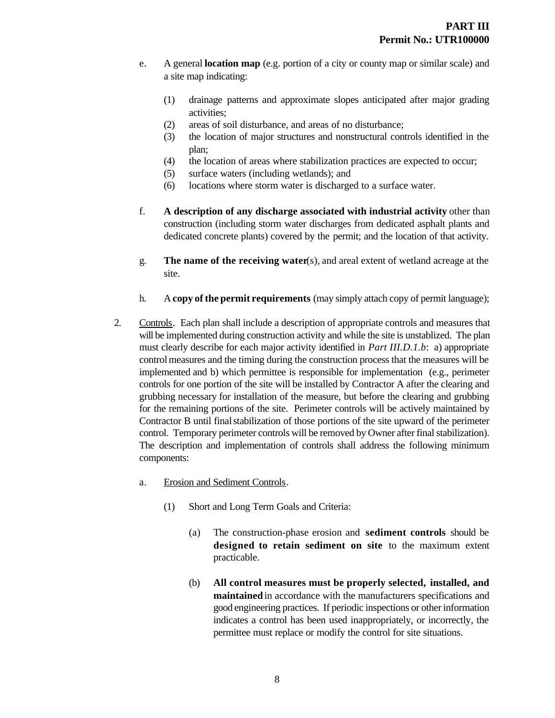- e. A general **location map** (e.g. portion of a city or county map or similar scale) and a site map indicating:
	- (1) drainage patterns and approximate slopes anticipated after major grading activities;
	- (2) areas of soil disturbance, and areas of no disturbance;
	- (3) the location of major structures and nonstructural controls identified in the plan;
	- (4) the location of areas where stabilization practices are expected to occur;
	- (5) surface waters (including wetlands); and
	- (6) locations where storm water is discharged to a surface water.
- f. **A description of any discharge associated with industrial activity** other than construction (including storm water discharges from dedicated asphalt plants and dedicated concrete plants) covered by the permit; and the location of that activity.
- g. **The name of the receiving water**(s), and areal extent of wetland acreage at the site.
- h. A **copy of the permit requirements** (may simply attach copy of permit language);
- 2. Controls. Each plan shall include a description of appropriate controls and measures that will be implemented during construction activity and while the site is unstablized. The plan must clearly describe for each major activity identified in *Part III.D.1.b*: a) appropriate control measures and the timing during the construction process that the measures will be implemented and b) which permittee is responsible for implementation (e.g., perimeter controls for one portion of the site will be installed by Contractor A after the clearing and grubbing necessary for installation of the measure, but before the clearing and grubbing for the remaining portions of the site. Perimeter controls will be actively maintained by Contractor B until final stabilization of those portions of the site upward of the perimeter control. Temporary perimeter controls will be removed by Owner after final stabilization). The description and implementation of controls shall address the following minimum components:
	- a. Erosion and Sediment Controls.
		- (1) Short and Long Term Goals and Criteria:
			- (a) The construction-phase erosion and **sediment controls** should be **designed to retain sediment on site** to the maximum extent practicable.
			- (b) **All control measures must be properly selected, installed, and maintained** in accordance with the manufacturers specifications and good engineering practices. If periodic inspections or other information indicates a control has been used inappropriately, or incorrectly, the permittee must replace or modify the control for site situations.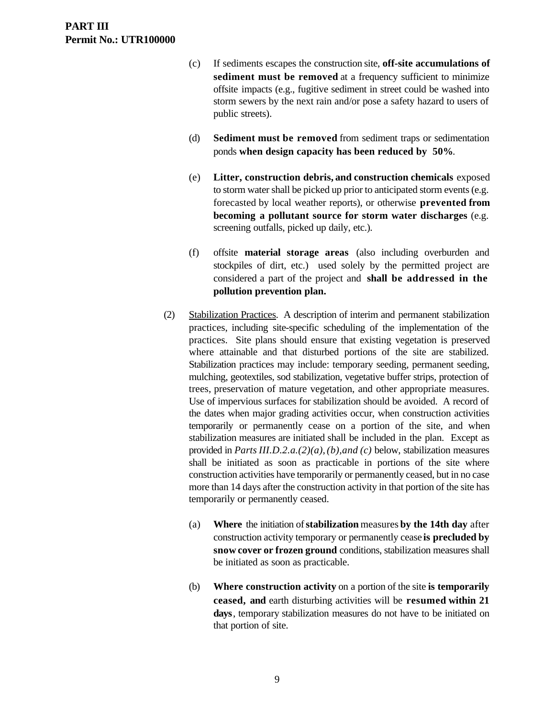- (c) If sediments escapes the construction site, **off-site accumulations of sediment must be removed** at a frequency sufficient to minimize offsite impacts (e.g., fugitive sediment in street could be washed into storm sewers by the next rain and/or pose a safety hazard to users of public streets).
- (d) **Sediment must be removed** from sediment traps or sedimentation ponds **when design capacity has been reduced by 50%**.
- (e) **Litter, construction debris, and construction chemicals** exposed to storm water shall be picked up prior to anticipated storm events (e.g. forecasted by local weather reports), or otherwise **prevented from becoming a pollutant source for storm water discharges** (e.g. screening outfalls, picked up daily, etc.).
- (f) offsite **material storage areas** (also including overburden and stockpiles of dirt, etc.) used solely by the permitted project are considered a part of the project and **shall be addressed in the pollution prevention plan.**
- (2) Stabilization Practices. A description of interim and permanent stabilization practices, including site-specific scheduling of the implementation of the practices. Site plans should ensure that existing vegetation is preserved where attainable and that disturbed portions of the site are stabilized. Stabilization practices may include: temporary seeding, permanent seeding, mulching, geotextiles, sod stabilization, vegetative buffer strips, protection of trees, preservation of mature vegetation, and other appropriate measures. Use of impervious surfaces for stabilization should be avoided. A record of the dates when major grading activities occur, when construction activities temporarily or permanently cease on a portion of the site, and when stabilization measures are initiated shall be included in the plan. Except as provided in *Parts III.D.2.a.(2)(a)*,*(b),and (c)* below, stabilization measures shall be initiated as soon as practicable in portions of the site where construction activities have temporarily or permanently ceased, but in no case more than 14 days after the construction activity in that portion of the site has temporarily or permanently ceased.
	- (a) **Where** the initiation of **stabilization** measures **by the 14th day** after construction activity temporary or permanently cease **is precluded by snow cover or frozen ground** conditions, stabilization measures shall be initiated as soon as practicable.
	- (b) **Where construction activity** on a portion of the site **is temporarily ceased, and** earth disturbing activities will be **resumed within 21 days**, temporary stabilization measures do not have to be initiated on that portion of site.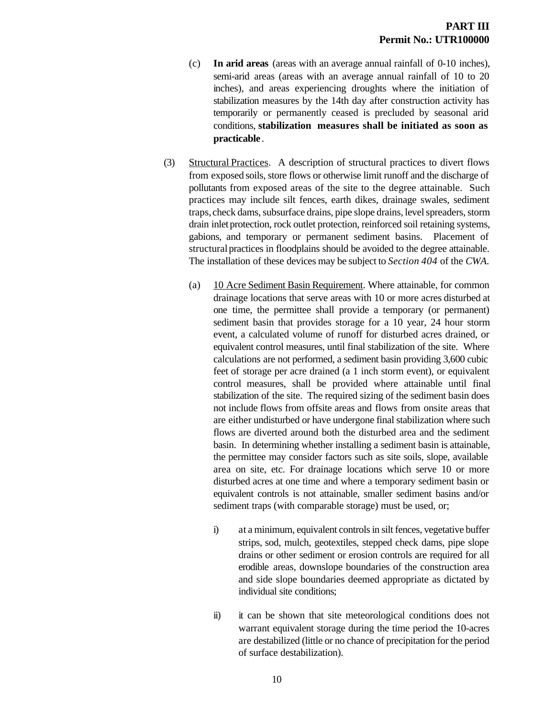- (c) **In arid areas** (areas with an average annual rainfall of 0-10 inches), semi-arid areas (areas with an average annual rainfall of 10 to 20 inches), and areas experiencing droughts where the initiation of stabilization measures by the 14th day after construction activity has temporarily or permanently ceased is precluded by seasonal arid conditions, **stabilization measures shall be initiated as soon as practicable** .
- (3) Structural Practices. A description of structural practices to divert flows from exposed soils, store flows or otherwise limit runoff and the discharge of pollutants from exposed areas of the site to the degree attainable. Such practices may include silt fences, earth dikes, drainage swales, sediment traps, check dams, subsurface drains, pipe slope drains, level spreaders, storm drain inlet protection, rock outlet protection, reinforced soil retaining systems, gabions, and temporary or permanent sediment basins. Placement of structural practices in floodplains should be avoided to the degree attainable. The installation of these devices may be subject to *Section 404* of the *CWA*.
	- (a) 10 Acre Sediment Basin Requirement. Where attainable, for common drainage locations that serve areas with 10 or more acres disturbed at one time, the permittee shall provide a temporary (or permanent) sediment basin that provides storage for a 10 year, 24 hour storm event, a calculated volume of runoff for disturbed acres drained, or equivalent control measures, until final stabilization of the site. Where calculations are not performed, a sediment basin providing 3,600 cubic feet of storage per acre drained (a 1 inch storm event), or equivalent control measures, shall be provided where attainable until final stabilization of the site. The required sizing of the sediment basin does not include flows from offsite areas and flows from onsite areas that are either undisturbed or have undergone final stabilization where such flows are diverted around both the disturbed area and the sediment basin. In determining whether installing a sediment basin is attainable, the permittee may consider factors such as site soils, slope, available area on site, etc. For drainage locations which serve 10 or more disturbed acres at one time and where a temporary sediment basin or equivalent controls is not attainable, smaller sediment basins and/or sediment traps (with comparable storage) must be used, or;
		- i) at a minimum, equivalent controls in silt fences, vegetative buffer strips, sod, mulch, geotextiles, stepped check dams, pipe slope drains or other sediment or erosion controls are required for all erodible areas, downslope boundaries of the construction area and side slope boundaries deemed appropriate as dictated by individual site conditions;
		- ii) it can be shown that site meteorological conditions does not warrant equivalent storage during the time period the 10-acres are destabilized (little or no chance of precipitation for the period of surface destabilization).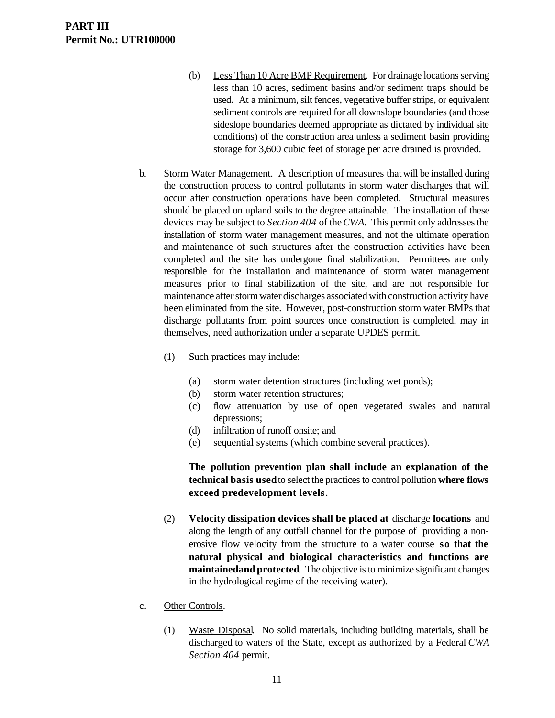- (b) Less Than 10 Acre BMP Requirement. For drainage locations serving less than 10 acres, sediment basins and/or sediment traps should be used. At a minimum, silt fences, vegetative buffer strips, or equivalent sediment controls are required for all downslope boundaries (and those sideslope boundaries deemed appropriate as dictated by individual site conditions) of the construction area unless a sediment basin providing storage for 3,600 cubic feet of storage per acre drained is provided.
- b. Storm Water Management. A description of measures that will be installed during the construction process to control pollutants in storm water discharges that will occur after construction operations have been completed. Structural measures should be placed on upland soils to the degree attainable. The installation of these devices may be subject to *Section 404* of the *CWA*. This permit only addresses the installation of storm water management measures, and not the ultimate operation and maintenance of such structures after the construction activities have been completed and the site has undergone final stabilization. Permittees are only responsible for the installation and maintenance of storm water management measures prior to final stabilization of the site, and are not responsible for maintenance after storm water discharges associated with construction activity have been eliminated from the site. However, post-construction storm water BMPs that discharge pollutants from point sources once construction is completed, may in themselves, need authorization under a separate UPDES permit.
	- (1) Such practices may include:
		- (a) storm water detention structures (including wet ponds);
		- (b) storm water retention structures;
		- (c) flow attenuation by use of open vegetated swales and natural depressions;
		- (d) infiltration of runoff onsite; and
		- (e) sequential systems (which combine several practices).

**The pollution prevention plan shall include an explanation of the technical basis used** to select the practices to control pollution **where flows exceed predevelopment levels**.

- (2) **Velocity dissipation devices shall be placed at** discharge **locations** and along the length of any outfall channel for the purpose of providing a nonerosive flow velocity from the structure to a water course **so that the natural physical and biological characteristics and functions are maintained and protected**. The objective is to minimize significant changes in the hydrological regime of the receiving water).
- c. Other Controls.
	- (1) Waste Disposal. No solid materials, including building materials, shall be discharged to waters of the State, except as authorized by a Federal *CWA Section 404* permit.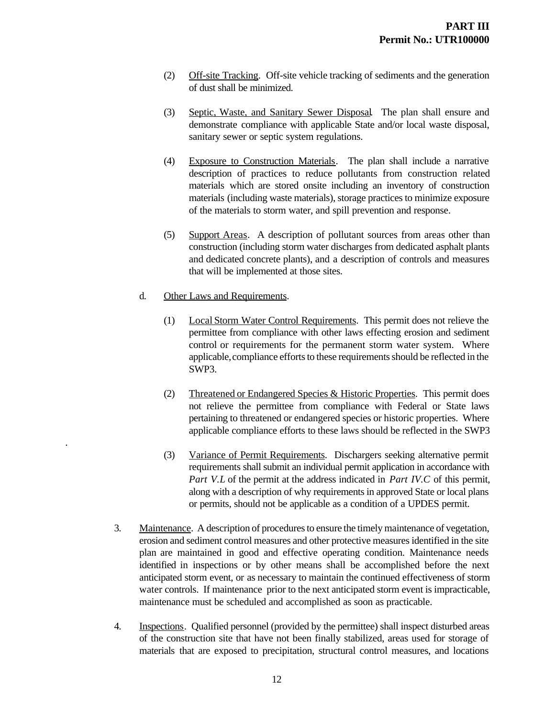- (2) Off-site Tracking. Off-site vehicle tracking of sediments and the generation of dust shall be minimized.
- (3) Septic, Waste, and Sanitary Sewer Disposal. The plan shall ensure and demonstrate compliance with applicable State and/or local waste disposal, sanitary sewer or septic system regulations.
- (4) Exposure to Construction Materials. The plan shall include a narrative description of practices to reduce pollutants from construction related materials which are stored onsite including an inventory of construction materials (including waste materials), storage practices to minimize exposure of the materials to storm water, and spill prevention and response.
- (5) Support Areas. A description of pollutant sources from areas other than construction (including storm water discharges from dedicated asphalt plants and dedicated concrete plants), and a description of controls and measures that will be implemented at those sites.
- d. Other Laws and Requirements.

.

- (1) Local Storm Water Control Requirements. This permit does not relieve the permittee from compliance with other laws effecting erosion and sediment control or requirements for the permanent storm water system. Where applicable, compliance efforts to these requirements should be reflected in the SWP3.
- (2) Threatened or Endangered Species & Historic Properties. This permit does not relieve the permittee from compliance with Federal or State laws pertaining to threatened or endangered species or historic properties. Where applicable compliance efforts to these laws should be reflected in the SWP3
- (3) Variance of Permit Requirements. Dischargers seeking alternative permit requirements shall submit an individual permit application in accordance with *Part V.L* of the permit at the address indicated in *Part IV.C* of this permit, along with a description of why requirements in approved State or local plans or permits, should not be applicable as a condition of a UPDES permit.
- 3. Maintenance. A description of procedures to ensure the timely maintenance of vegetation, erosion and sediment control measures and other protective measures identified in the site plan are maintained in good and effective operating condition. Maintenance needs identified in inspections or by other means shall be accomplished before the next anticipated storm event, or as necessary to maintain the continued effectiveness of storm water controls. If maintenance prior to the next anticipated storm event is impracticable, maintenance must be scheduled and accomplished as soon as practicable.
- 4. Inspections. Qualified personnel (provided by the permittee) shall inspect disturbed areas of the construction site that have not been finally stabilized, areas used for storage of materials that are exposed to precipitation, structural control measures, and locations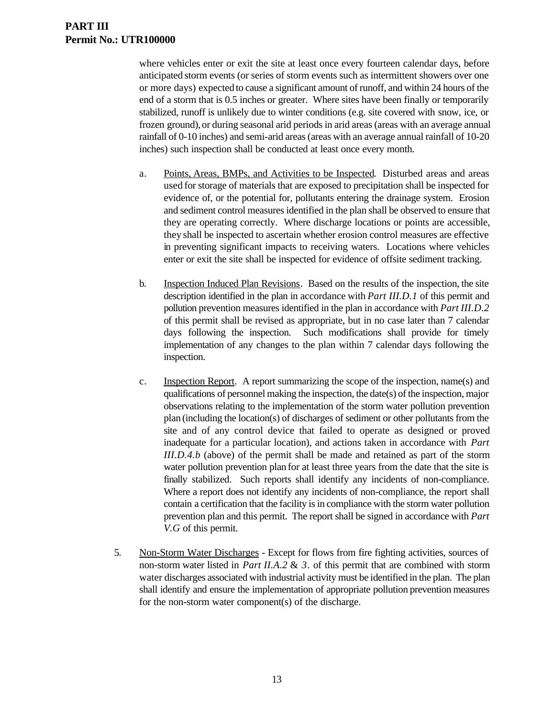where vehicles enter or exit the site at least once every fourteen calendar days, before anticipated storm events (or series of storm events such as intermittent showers over one or more days) expected to cause a significant amount of runoff, and within 24 hours of the end of a storm that is 0.5 inches or greater. Where sites have been finally or temporarily stabilized, runoff is unlikely due to winter conditions (e.g. site covered with snow, ice, or frozen ground), or during seasonal arid periods in arid areas (areas with an average annual rainfall of 0-10 inches) and semi-arid areas (areas with an average annual rainfall of 10-20 inches) such inspection shall be conducted at least once every month.

- a. Points, Areas, BMPs, and Activities to be Inspected. Disturbed areas and areas used for storage of materials that are exposed to precipitation shall be inspected for evidence of, or the potential for, pollutants entering the drainage system. Erosion and sediment control measures identified in the plan shall be observed to ensure that they are operating correctly. Where discharge locations or points are accessible, they shall be inspected to ascertain whether erosion control measures are effective in preventing significant impacts to receiving waters. Locations where vehicles enter or exit the site shall be inspected for evidence of offsite sediment tracking.
- b. Inspection Induced Plan Revisions. Based on the results of the inspection, the site description identified in the plan in accordance with *Part III.D.1* of this permit and pollution prevention measures identified in the plan in accordance with *Part III.D.2* of this permit shall be revised as appropriate, but in no case later than 7 calendar days following the inspection. Such modifications shall provide for timely implementation of any changes to the plan within 7 calendar days following the inspection.
- c. Inspection Report. A report summarizing the scope of the inspection, name(s) and qualifications of personnel making the inspection, the date(s) of the inspection, major observations relating to the implementation of the storm water pollution prevention plan (including the location(s) of discharges of sediment or other pollutants from the site and of any control device that failed to operate as designed or proved inadequate for a particular location), and actions taken in accordance with *Part III.D.4.b* (above) of the permit shall be made and retained as part of the storm water pollution prevention plan for at least three years from the date that the site is finally stabilized. Such reports shall identify any incidents of non-compliance. Where a report does not identify any incidents of non-compliance, the report shall contain a certification that the facility is in compliance with the storm water pollution prevention plan and this permit. The report shall be signed in accordance with *Part V.G* of this permit.
- 5. Non-Storm Water Discharges Except for flows from fire fighting activities, sources of non-storm water listed in *Part II.A.2* & *3*. of this permit that are combined with storm water discharges associated with industrial activity must be identified in the plan. The plan shall identify and ensure the implementation of appropriate pollution prevention measures for the non-storm water component(s) of the discharge.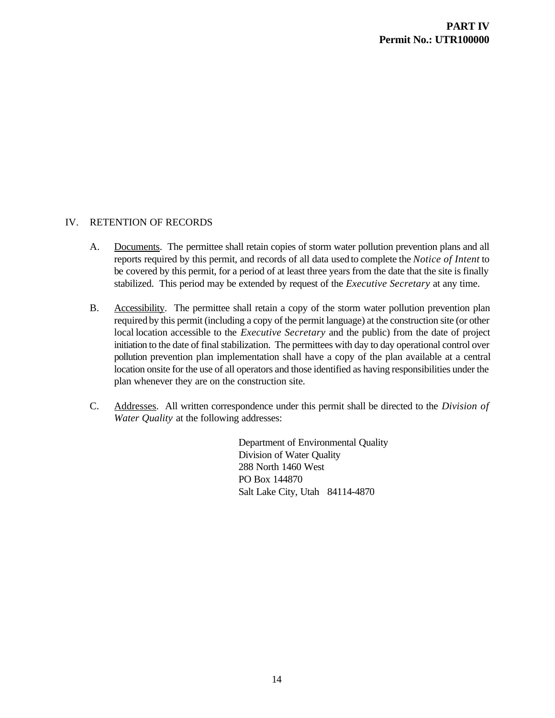## IV. RETENTION OF RECORDS

- A. Documents. The permittee shall retain copies of storm water pollution prevention plans and all reports required by this permit, and records of all data used to complete the *Notice of Intent* to be covered by this permit, for a period of at least three years from the date that the site is finally stabilized. This period may be extended by request of the *Executive Secretary* at any time.
- B. Accessibility. The permittee shall retain a copy of the storm water pollution prevention plan required by this permit (including a copy of the permit language) at the construction site (or other local location accessible to the *Executive Secretary* and the public) from the date of project initiation to the date of final stabilization. The permittees with day to day operational control over pollution prevention plan implementation shall have a copy of the plan available at a central location onsite for the use of all operators and those identified as having responsibilities under the plan whenever they are on the construction site.
- C. Addresses. All written correspondence under this permit shall be directed to the *Division of Water Quality* at the following addresses:

Department of Environmental Quality Division of Water Quality 288 North 1460 West PO Box 144870 Salt Lake City, Utah 84114-4870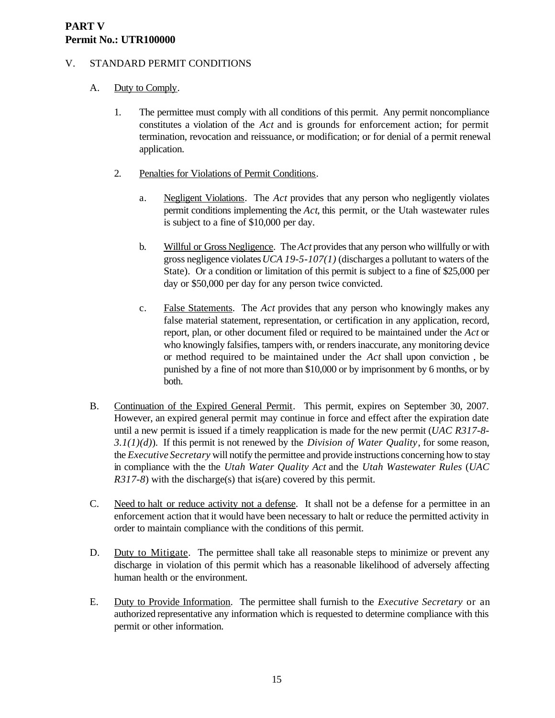### V. STANDARD PERMIT CONDITIONS

- A. Duty to Comply.
	- 1. The permittee must comply with all conditions of this permit. Any permit noncompliance constitutes a violation of the *Act* and is grounds for enforcement action; for permit termination, revocation and reissuance, or modification; or for denial of a permit renewal application.
	- 2. Penalties for Violations of Permit Conditions.
		- a. Negligent Violations. The *Act* provides that any person who negligently violates permit conditions implementing the *Act*, this permit, or the Utah wastewater rules is subject to a fine of \$10,000 per day.
		- b. Willful or Gross Negligence. The *Act* provides that any person who willfully or with gross negligence violates *UCA 19-5-107(1)* (discharges a pollutant to waters of the State). Or a condition or limitation of this permit is subject to a fine of \$25,000 per day or \$50,000 per day for any person twice convicted.
		- c. False Statements. The *Act* provides that any person who knowingly makes any false material statement, representation, or certification in any application, record, report, plan, or other document filed or required to be maintained under the *Act* or who knowingly falsifies, tampers with, or renders inaccurate, any monitoring device or method required to be maintained under the *Act* shall upon conviction , be punished by a fine of not more than \$10,000 or by imprisonment by 6 months, or by both.
- B. Continuation of the Expired General Permit. This permit, expires on September 30, 2007. However, an expired general permit may continue in force and effect after the expiration date until a new permit is issued if a timely reapplication is made for the new permit (*UAC R317-8- 3.1(1)(d)*). If this permit is not renewed by the *Division of Water Quality*, for some reason, the *Executive Secretary* will notify the permittee and provide instructions concerning how to stay in compliance with the the *Utah Water Quality Act* and the *Utah Wastewater Rules* (*UAC R317-8*) with the discharge(s) that is(are) covered by this permit.
- C. Need to halt or reduce activity not a defense. It shall not be a defense for a permittee in an enforcement action that it would have been necessary to halt or reduce the permitted activity in order to maintain compliance with the conditions of this permit.
- D. Duty to Mitigate. The permittee shall take all reasonable steps to minimize or prevent any discharge in violation of this permit which has a reasonable likelihood of adversely affecting human health or the environment.
- E. Duty to Provide Information. The permittee shall furnish to the *Executive Secretary* or an authorized representative any information which is requested to determine compliance with this permit or other information.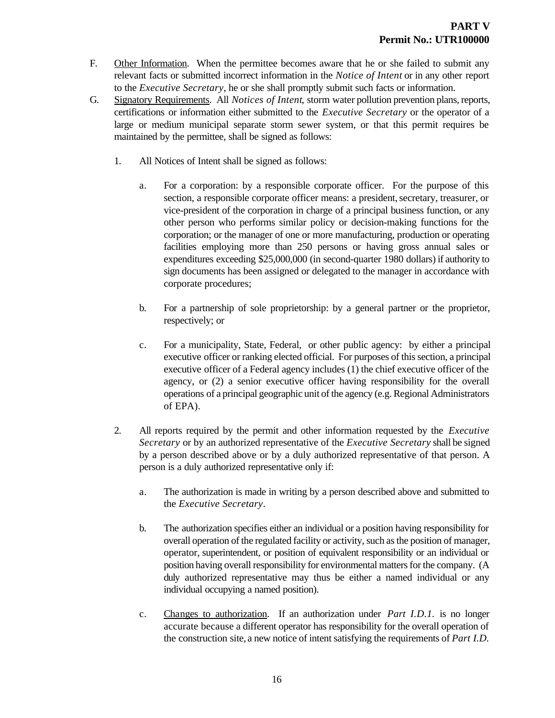- F. Other Information. When the permittee becomes aware that he or she failed to submit any relevant facts or submitted incorrect information in the *Notice of Intent* or in any other report to the *Executive Secretary*, he or she shall promptly submit such facts or information.
- G. Signatory Requirements. All *Notices of Intent*, storm water pollution prevention plans, reports, certifications or information either submitted to the *Executive Secretary* or the operator of a large or medium municipal separate storm sewer system, or that this permit requires be maintained by the permittee, shall be signed as follows:
	- 1. All Notices of Intent shall be signed as follows:
		- a. For a corporation: by a responsible corporate officer. For the purpose of this section, a responsible corporate officer means: a president, secretary, treasurer, or vice-president of the corporation in charge of a principal business function, or any other person who performs similar policy or decision-making functions for the corporation; or the manager of one or more manufacturing, production or operating facilities employing more than 250 persons or having gross annual sales or expenditures exceeding \$25,000,000 (in second-quarter 1980 dollars) if authority to sign documents has been assigned or delegated to the manager in accordance with corporate procedures;
		- b. For a partnership of sole proprietorship: by a general partner or the proprietor, respectively; or
		- c. For a municipality, State, Federal, or other public agency: by either a principal executive officer or ranking elected official. For purposes of this section, a principal executive officer of a Federal agency includes (1) the chief executive officer of the agency, or (2) a senior executive officer having responsibility for the overall operations of a principal geographic unit of the agency (e.g. Regional Administrators of EPA).
	- 2. All reports required by the permit and other information requested by the *Executive Secretary* or by an authorized representative of the *Executive Secretary* shall be signed by a person described above or by a duly authorized representative of that person. A person is a duly authorized representative only if:
		- a. The authorization is made in writing by a person described above and submitted to the *Executive Secretary*.
		- b. The authorization specifies either an individual or a position having responsibility for overall operation of the regulated facility or activity, such as the position of manager, operator, superintendent, or position of equivalent responsibility or an individual or position having overall responsibility for environmental matters for the company. (A duly authorized representative may thus be either a named individual or any individual occupying a named position).
		- c. Changes to authorization. If an authorization under *Part I.D.1.* is no longer accurate because a different operator has responsibility for the overall operation of the construction site, a new notice of intent satisfying the requirements of *Part I.D.*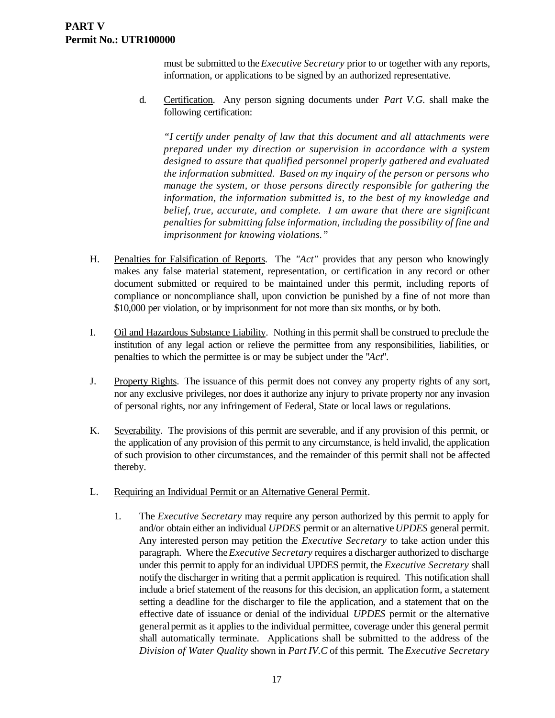must be submitted to the *Executive Secretary* prior to or together with any reports, information, or applications to be signed by an authorized representative.

d. Certification. Any person signing documents under *Part V.G.* shall make the following certification:

*"I certify under penalty of law that this document and all attachments were prepared under my direction or supervision in accordance with a system designed to assure that qualified personnel properly gathered and evaluated the information submitted. Based on my inquiry of the person or persons who manage the system, or those persons directly responsible for gathering the information, the information submitted is, to the best of my knowledge and belief, true, accurate, and complete. I am aware that there are significant penalties for submitting false information, including the possibility of fine and imprisonment for knowing violations."*

- H. Penalties for Falsification of Reports. The *"Act"* provides that any person who knowingly makes any false material statement, representation, or certification in any record or other document submitted or required to be maintained under this permit, including reports of compliance or noncompliance shall, upon conviction be punished by a fine of not more than \$10,000 per violation, or by imprisonment for not more than six months, or by both.
- I. Oil and Hazardous Substance Liability. Nothing in this permit shall be construed to preclude the institution of any legal action or relieve the permittee from any responsibilities, liabilities, or penalties to which the permittee is or may be subject under the "*Act*".
- J. Property Rights. The issuance of this permit does not convey any property rights of any sort, nor any exclusive privileges, nor does it authorize any injury to private property nor any invasion of personal rights, nor any infringement of Federal, State or local laws or regulations.
- K. Severability. The provisions of this permit are severable, and if any provision of this permit, or the application of any provision of this permit to any circumstance, is held invalid, the application of such provision to other circumstances, and the remainder of this permit shall not be affected thereby.
- L. Requiring an Individual Permit or an Alternative General Permit.
	- 1. The *Executive Secretary* may require any person authorized by this permit to apply for and/or obtain either an individual *UPDES* permit or an alternative *UPDES* general permit. Any interested person may petition the *Executive Secretary* to take action under this paragraph. Where the *Executive Secretary* requires a discharger authorized to discharge under this permit to apply for an individual UPDES permit, the *Executive Secretary* shall notify the discharger in writing that a permit application is required. This notification shall include a brief statement of the reasons for this decision, an application form, a statement setting a deadline for the discharger to file the application, and a statement that on the effective date of issuance or denial of the individual *UPDES* permit or the alternative general permit as it applies to the individual permittee, coverage under this general permit shall automatically terminate. Applications shall be submitted to the address of the *Division of Water Quality* shown in *Part IV.C* of this permit. The *Executive Secretary*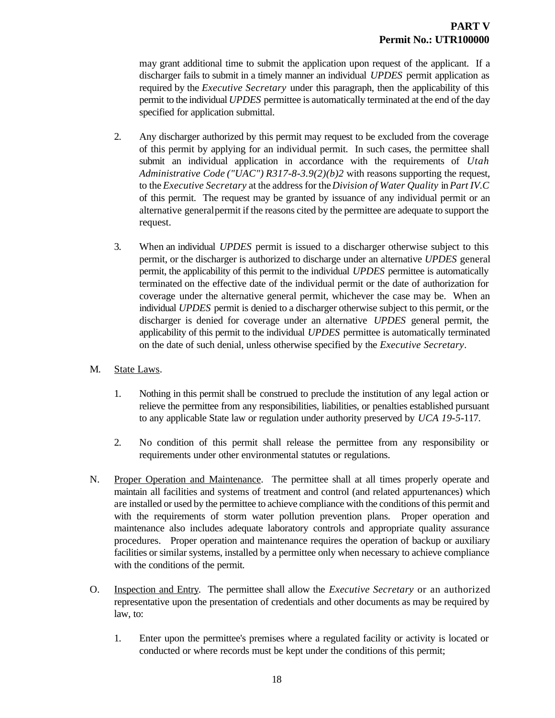may grant additional time to submit the application upon request of the applicant. If a discharger fails to submit in a timely manner an individual *UPDES* permit application as required by the *Executive Secretary* under this paragraph, then the applicability of this permit to the individual *UPDES* permittee is automatically terminated at the end of the day specified for application submittal.

- 2. Any discharger authorized by this permit may request to be excluded from the coverage of this permit by applying for an individual permit. In such cases, the permittee shall submit an individual application in accordance with the requirements of *Utah Administrative Code ("UAC") R317-8-3.9(2)(b)2* with reasons supporting the request, to the *Executive Secretary* at the address for the *Division of Water Quality* in *Part IV.C* of this permit. The request may be granted by issuance of any individual permit or an alternative general permit if the reasons cited by the permittee are adequate to support the request.
- 3. When an individual *UPDES* permit is issued to a discharger otherwise subject to this permit, or the discharger is authorized to discharge under an alternative *UPDES* general permit, the applicability of this permit to the individual *UPDES* permittee is automatically terminated on the effective date of the individual permit or the date of authorization for coverage under the alternative general permit, whichever the case may be. When an individual *UPDES* permit is denied to a discharger otherwise subject to this permit, or the discharger is denied for coverage under an alternative *UPDES* general permit, the applicability of this permit to the individual *UPDES* permittee is automatically terminated on the date of such denial, unless otherwise specified by the *Executive Secretary*.
- M. State Laws.
	- 1. Nothing in this permit shall be construed to preclude the institution of any legal action or relieve the permittee from any responsibilities, liabilities, or penalties established pursuant to any applicable State law or regulation under authority preserved by *UCA 19-5*-117.
	- 2. No condition of this permit shall release the permittee from any responsibility or requirements under other environmental statutes or regulations.
- N. Proper Operation and Maintenance. The permittee shall at all times properly operate and maintain all facilities and systems of treatment and control (and related appurtenances) which are installed or used by the permittee to achieve compliance with the conditions of this permit and with the requirements of storm water pollution prevention plans. Proper operation and maintenance also includes adequate laboratory controls and appropriate quality assurance procedures. Proper operation and maintenance requires the operation of backup or auxiliary facilities or similar systems, installed by a permittee only when necessary to achieve compliance with the conditions of the permit.
- O. Inspection and Entry. The permittee shall allow the *Executive Secretary* or an authorized representative upon the presentation of credentials and other documents as may be required by law, to:
	- 1. Enter upon the permittee's premises where a regulated facility or activity is located or conducted or where records must be kept under the conditions of this permit;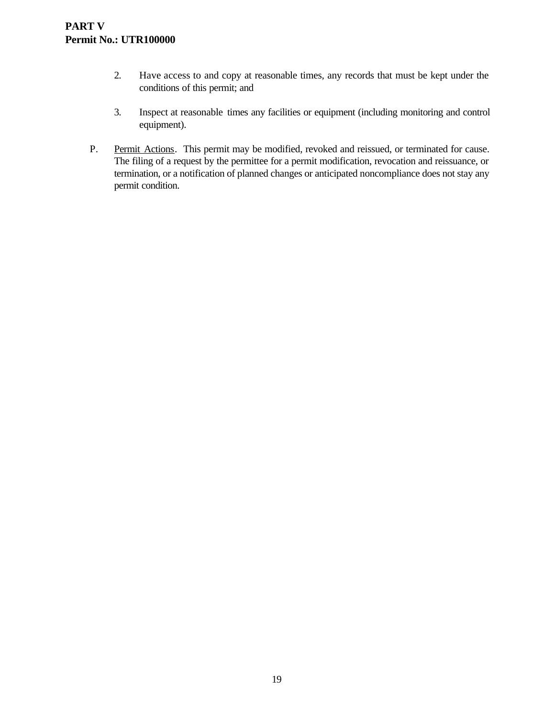- 2. Have access to and copy at reasonable times, any records that must be kept under the conditions of this permit; and
- 3. Inspect at reasonable times any facilities or equipment (including monitoring and control equipment).
- P. Permit Actions. This permit may be modified, revoked and reissued, or terminated for cause. The filing of a request by the permittee for a permit modification, revocation and reissuance, or termination, or a notification of planned changes or anticipated noncompliance does not stay any permit condition.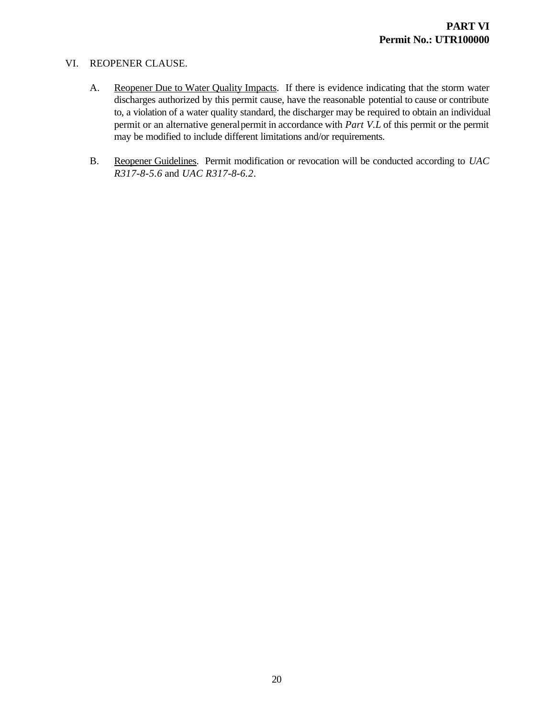### VI. REOPENER CLAUSE.

- A. Reopener Due to Water Quality Impacts. If there is evidence indicating that the storm water discharges authorized by this permit cause, have the reasonable potential to cause or contribute to, a violation of a water quality standard, the discharger may be required to obtain an individual permit or an alternative general permit in accordance with *Part V.L* of this permit or the permit may be modified to include different limitations and/or requirements.
- B. Reopener Guidelines. Permit modification or revocation will be conducted according to *UAC R317-8-5.6* and *UAC R317-8-6.2*.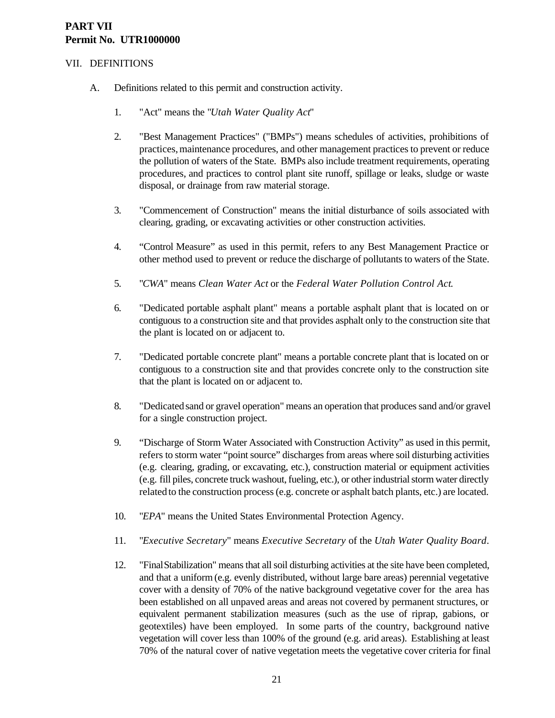### VII. DEFINITIONS

- A. Definitions related to this permit and construction activity.
	- 1. "Act" means the "*Utah Water Quality Act*"
	- 2. "Best Management Practices" ("BMPs") means schedules of activities, prohibitions of practices, maintenance procedures, and other management practices to prevent or reduce the pollution of waters of the State. BMPs also include treatment requirements, operating procedures, and practices to control plant site runoff, spillage or leaks, sludge or waste disposal, or drainage from raw material storage.
	- 3. "Commencement of Construction" means the initial disturbance of soils associated with clearing, grading, or excavating activities or other construction activities.
	- 4. "Control Measure" as used in this permit, refers to any Best Management Practice or other method used to prevent or reduce the discharge of pollutants to waters of the State.
	- 5. "*CWA*" means *Clean Water Act* or the *Federal Water Pollution Control Act*.
	- 6. "Dedicated portable asphalt plant" means a portable asphalt plant that is located on or contiguous to a construction site and that provides asphalt only to the construction site that the plant is located on or adjacent to.
	- 7. "Dedicated portable concrete plant" means a portable concrete plant that is located on or contiguous to a construction site and that provides concrete only to the construction site that the plant is located on or adjacent to.
	- 8. "Dedicated sand or gravel operation" means an operation that produces sand and/or gravel for a single construction project.
	- 9. "Discharge of Storm Water Associated with Construction Activity" as used in this permit, refers to storm water "point source" discharges from areas where soil disturbing activities (e.g. clearing, grading, or excavating, etc.), construction material or equipment activities (e.g. fill piles, concrete truck washout, fueling, etc.), or other industrial storm water directly related to the construction process (e.g. concrete or asphalt batch plants, etc.) are located.
	- 10. "*EPA*" means the United States Environmental Protection Agency.
	- 11. "*Executive Secretary*" means *Executive Secretary* of the *Utah Water Quality Board*.
	- 12. "Final Stabilization" means that all soil disturbing activities at the site have been completed, and that a uniform (e.g. evenly distributed, without large bare areas) perennial vegetative cover with a density of 70% of the native background vegetative cover for the area has been established on all unpaved areas and areas not covered by permanent structures, or equivalent permanent stabilization measures (such as the use of riprap, gabions, or geotextiles) have been employed. In some parts of the country, background native vegetation will cover less than 100% of the ground (e.g. arid areas). Establishing at least 70% of the natural cover of native vegetation meets the vegetative cover criteria for final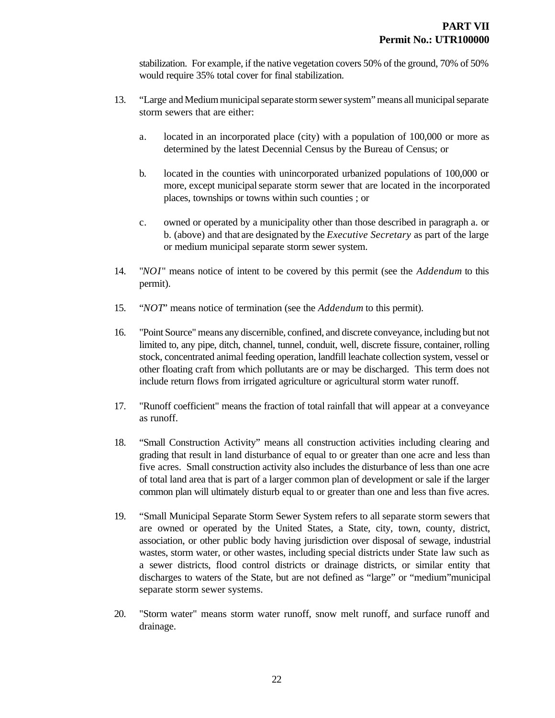stabilization. For example, if the native vegetation covers 50% of the ground, 70% of 50% would require 35% total cover for final stabilization.

- 13. "Large and Medium municipal separate storm sewer system" means all municipal separate storm sewers that are either:
	- a. located in an incorporated place (city) with a population of 100,000 or more as determined by the latest Decennial Census by the Bureau of Census; or
	- b. located in the counties with unincorporated urbanized populations of 100,000 or more, except municipal separate storm sewer that are located in the incorporated places, townships or towns within such counties ; or
	- c. owned or operated by a municipality other than those described in paragraph a. or b. (above) and that are designated by the *Executive Secretary* as part of the large or medium municipal separate storm sewer system.
- 14. "*NOI*" means notice of intent to be covered by this permit (see the *Addendum* to this permit).
- 15. "*NOT*" means notice of termination (see the *Addendum* to this permit).
- 16. "Point Source" means any discernible, confined, and discrete conveyance, including but not limited to, any pipe, ditch, channel, tunnel, conduit, well, discrete fissure, container, rolling stock, concentrated animal feeding operation, landfill leachate collection system, vessel or other floating craft from which pollutants are or may be discharged. This term does not include return flows from irrigated agriculture or agricultural storm water runoff.
- 17. "Runoff coefficient" means the fraction of total rainfall that will appear at a conveyance as runoff.
- 18. "Small Construction Activity" means all construction activities including clearing and grading that result in land disturbance of equal to or greater than one acre and less than five acres. Small construction activity also includes the disturbance of less than one acre of total land area that is part of a larger common plan of development or sale if the larger common plan will ultimately disturb equal to or greater than one and less than five acres.
- 19. "Small Municipal Separate Storm Sewer System refers to all separate storm sewers that are owned or operated by the United States, a State, city, town, county, district, association, or other public body having jurisdiction over disposal of sewage, industrial wastes, storm water, or other wastes, including special districts under State law such as a sewer districts, flood control districts or drainage districts, or similar entity that discharges to waters of the State, but are not defined as "large" or "medium"municipal separate storm sewer systems.
- 20. "Storm water" means storm water runoff, snow melt runoff, and surface runoff and drainage.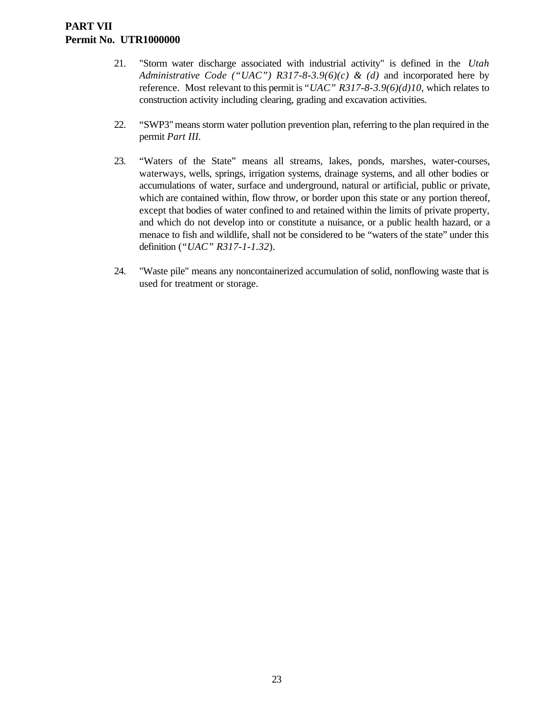- 21. "Storm water discharge associated with industrial activity" is defined in the *Utah Administrative Code* ("UAC")  $R317-8-3.9(6)(c)$  & (d) and incorporated here by reference. Most relevant to this permit is *"UAC" R317-8-3.9(6)(d)10*, which relates to construction activity including clearing, grading and excavation activities.
- 22. "SWP3" means storm water pollution prevention plan, referring to the plan required in the permit *Part III.*
- 23. "Waters of the State" means all streams, lakes, ponds, marshes, water-courses, waterways, wells, springs, irrigation systems, drainage systems, and all other bodies or accumulations of water, surface and underground, natural or artificial, public or private, which are contained within, flow throw, or border upon this state or any portion thereof, except that bodies of water confined to and retained within the limits of private property, and which do not develop into or constitute a nuisance, or a public health hazard, or a menace to fish and wildlife, shall not be considered to be "waters of the state" under this definition (*"UAC" R317-1-1.32*).
- 24. "Waste pile" means any noncontainerized accumulation of solid, nonflowing waste that is used for treatment or storage.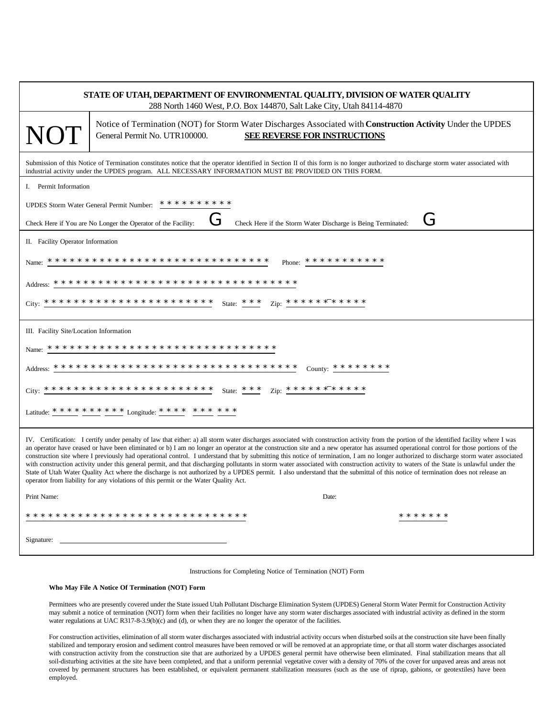| STATE OF UTAH, DEPARTMENT OF ENVIRONMENTAL QUALITY, DIVISION OF WATER QUALITY<br>288 North 1460 West, P.O. Box 144870, Salt Lake City, Utah 84114-4870                                                                                                                                                                                                                                                                                                                                                                                                                                                                                                                                                                                                                                                                                                                                                                                                                                                                                               |                                                                                                                                                                                                                                                                                               |  |  |  |  |
|------------------------------------------------------------------------------------------------------------------------------------------------------------------------------------------------------------------------------------------------------------------------------------------------------------------------------------------------------------------------------------------------------------------------------------------------------------------------------------------------------------------------------------------------------------------------------------------------------------------------------------------------------------------------------------------------------------------------------------------------------------------------------------------------------------------------------------------------------------------------------------------------------------------------------------------------------------------------------------------------------------------------------------------------------|-----------------------------------------------------------------------------------------------------------------------------------------------------------------------------------------------------------------------------------------------------------------------------------------------|--|--|--|--|
|                                                                                                                                                                                                                                                                                                                                                                                                                                                                                                                                                                                                                                                                                                                                                                                                                                                                                                                                                                                                                                                      | Notice of Termination (NOT) for Storm Water Discharges Associated with Construction Activity Under the UPDES<br>General Permit No. UTR100000.<br>SEE REVERSE FOR INSTRUCTIONS                                                                                                                 |  |  |  |  |
|                                                                                                                                                                                                                                                                                                                                                                                                                                                                                                                                                                                                                                                                                                                                                                                                                                                                                                                                                                                                                                                      | Submission of this Notice of Termination constitutes notice that the operator identified in Section II of this form is no longer authorized to discharge storm water associated with<br>industrial activity under the UPDES program. ALL NECESSARY INFORMATION MUST BE PROVIDED ON THIS FORM. |  |  |  |  |
| I. Permit Information                                                                                                                                                                                                                                                                                                                                                                                                                                                                                                                                                                                                                                                                                                                                                                                                                                                                                                                                                                                                                                |                                                                                                                                                                                                                                                                                               |  |  |  |  |
|                                                                                                                                                                                                                                                                                                                                                                                                                                                                                                                                                                                                                                                                                                                                                                                                                                                                                                                                                                                                                                                      | UPDES Storm Water General Permit Number: $\frac{x + x + x + x + x + x}{x + x + x}$                                                                                                                                                                                                            |  |  |  |  |
|                                                                                                                                                                                                                                                                                                                                                                                                                                                                                                                                                                                                                                                                                                                                                                                                                                                                                                                                                                                                                                                      | Ġ<br>Ġ<br>Check Here if the Storm Water Discharge is Being Terminated:<br>Check Here if You are No Longer the Operator of the Facility:                                                                                                                                                       |  |  |  |  |
| II. Facility Operator Information                                                                                                                                                                                                                                                                                                                                                                                                                                                                                                                                                                                                                                                                                                                                                                                                                                                                                                                                                                                                                    |                                                                                                                                                                                                                                                                                               |  |  |  |  |
|                                                                                                                                                                                                                                                                                                                                                                                                                                                                                                                                                                                                                                                                                                                                                                                                                                                                                                                                                                                                                                                      |                                                                                                                                                                                                                                                                                               |  |  |  |  |
|                                                                                                                                                                                                                                                                                                                                                                                                                                                                                                                                                                                                                                                                                                                                                                                                                                                                                                                                                                                                                                                      |                                                                                                                                                                                                                                                                                               |  |  |  |  |
|                                                                                                                                                                                                                                                                                                                                                                                                                                                                                                                                                                                                                                                                                                                                                                                                                                                                                                                                                                                                                                                      |                                                                                                                                                                                                                                                                                               |  |  |  |  |
| III. Facility Site/Location Information                                                                                                                                                                                                                                                                                                                                                                                                                                                                                                                                                                                                                                                                                                                                                                                                                                                                                                                                                                                                              |                                                                                                                                                                                                                                                                                               |  |  |  |  |
|                                                                                                                                                                                                                                                                                                                                                                                                                                                                                                                                                                                                                                                                                                                                                                                                                                                                                                                                                                                                                                                      |                                                                                                                                                                                                                                                                                               |  |  |  |  |
|                                                                                                                                                                                                                                                                                                                                                                                                                                                                                                                                                                                                                                                                                                                                                                                                                                                                                                                                                                                                                                                      | County: $* * * * * * * * * *$                                                                                                                                                                                                                                                                 |  |  |  |  |
|                                                                                                                                                                                                                                                                                                                                                                                                                                                                                                                                                                                                                                                                                                                                                                                                                                                                                                                                                                                                                                                      |                                                                                                                                                                                                                                                                                               |  |  |  |  |
|                                                                                                                                                                                                                                                                                                                                                                                                                                                                                                                                                                                                                                                                                                                                                                                                                                                                                                                                                                                                                                                      |                                                                                                                                                                                                                                                                                               |  |  |  |  |
| IV. Certification: I certify under penalty of law that either: a) all storm water discharges associated with construction activity from the portion of the identified facility where I was<br>an operator have ceased or have been eliminated or b) I am no longer an operator at the construction site and a new operator has assumed operational control for those portions of the<br>construction site where I previously had operational control. I understand that by submitting this notice of termination, I am no longer authorized to discharge storm water associated<br>with construction activity under this general permit, and that discharging pollutants in storm water associated with construction activity to waters of the State is unlawful under the<br>State of Utah Water Quality Act where the discharge is not authorized by a UPDES permit. I also understand that the submittal of this notice of termination does not release an<br>operator from liability for any violations of this permit or the Water Quality Act. |                                                                                                                                                                                                                                                                                               |  |  |  |  |
| Print Name:                                                                                                                                                                                                                                                                                                                                                                                                                                                                                                                                                                                                                                                                                                                                                                                                                                                                                                                                                                                                                                          | Date:                                                                                                                                                                                                                                                                                         |  |  |  |  |
|                                                                                                                                                                                                                                                                                                                                                                                                                                                                                                                                                                                                                                                                                                                                                                                                                                                                                                                                                                                                                                                      |                                                                                                                                                                                                                                                                                               |  |  |  |  |
| Signature:                                                                                                                                                                                                                                                                                                                                                                                                                                                                                                                                                                                                                                                                                                                                                                                                                                                                                                                                                                                                                                           |                                                                                                                                                                                                                                                                                               |  |  |  |  |

Instructions for Completing Notice of Termination (NOT) Form

### **Who May File A Notice Of Termination (NOT) Form**

Permittees who are presently covered under the State issued Utah Pollutant Discharge Elimination System (UPDES) General Storm Water Permit for Construction Activity may submit a notice of termination (NOT) form when their facilities no longer have any storm water discharges associated with industrial activity as defined in the storm water regulations at UAC R317-8-3.9(b)(c) and (d), or when they are no longer the operator of the facilities.

For construction activities, elimination of all storm water discharges associated with industrial activity occurs when disturbed soils at the construction site have been finally stabilized and temporary erosion and sediment control measures have been removed or will be removed at an appropriate time, or that all storm water discharges associated with construction activity from the construction site that are authorized by a UPDES general permit have otherwise been eliminated. Final stabilization means that all soil-disturbing activities at the site have been completed, and that a uniform perennial vegetative cover with a density of 70% of the cover for unpaved areas and areas not covered by permanent structures has been established, or equivalent permanent stabilization measures (such as the use of riprap, gabions, or geotextiles) have been employed.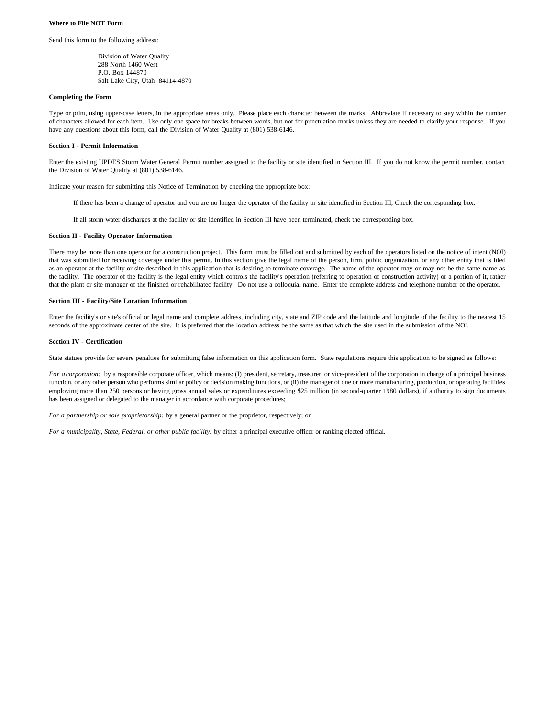Send this form to the following address:

Division of Water Quality 288 North 1460 West P.O. Box 144870 Salt Lake City, Utah 84114-4870

#### **Completing the Form**

Type or print, using upper-case letters, in the appropriate areas only. Please place each character between the marks. Abbreviate if necessary to stay within the number of characters allowed for each item. Use only one space for breaks between words, but not for punctuation marks unless they are needed to clarify your response. If you have any questions about this form, call the Division of Water Quality at (801) 538-6146.

### **Section I - Permit Information**

Enter the existing UPDES Storm Water General Permit number assigned to the facility or site identified in Section III. If you do not know the permit number, contact the Division of Water Quality at (801) 538-6146.

Indicate your reason for submitting this Notice of Termination by checking the appropriate box:

If there has been a change of operator and you are no longer the operator of the facility or site identified in Section III, Check the corresponding box.

If all storm water discharges at the facility or site identified in Section III have been terminated, check the corresponding box.

#### **Section II - Facility Operator Information**

There may be more than one operator for a construction project. This form must be filled out and submitted by each of the operators listed on the notice of intent (NOI) that was submitted for receiving coverage under this permit. In this section give the legal name of the person, firm, public organization, or any other entity that is filed as an operator at the facility or site described in this application that is desiring to terminate coverage. The name of the operator may or may not be the same name as the facility. The operator of the facility is the legal entity which controls the facility's operation (referring to operation of construction activity) or a portion of it, rather that the plant or site manager of the finished or rehabilitated facility. Do not use a colloquial name. Enter the complete address and telephone number of the operator.

#### **Section III - Facility/Site Location Information**

Enter the facility's or site's official or legal name and complete address, including city, state and ZIP code and the latitude and longitude of the facility to the nearest 15 seconds of the approximate center of the site. It is preferred that the location address be the same as that which the site used in the submission of the NOI.

#### **Section IV - Certification**

State statues provide for severe penalties for submitting false information on this application form. State regulations require this application to be signed as follows:

*For a corporation:* by a responsible corporate officer, which means: (I) president, secretary, treasurer, or vice-president of the corporation in charge of a principal business function, or any other person who performs similar policy or decision making functions, or (ii) the manager of one or more manufacturing, production, or operating facilities employing more than 250 persons or having gross annual sales or expenditures exceeding \$25 million (in second-quarter 1980 dollars), if authority to sign documents has been assigned or delegated to the manager in accordance with corporate procedures;

*For a partnership or sole proprietorship:* by a general partner or the proprietor, respectively; or

*For a municipality, State, Federal, or other public facility:* by either a principal executive officer or ranking elected official.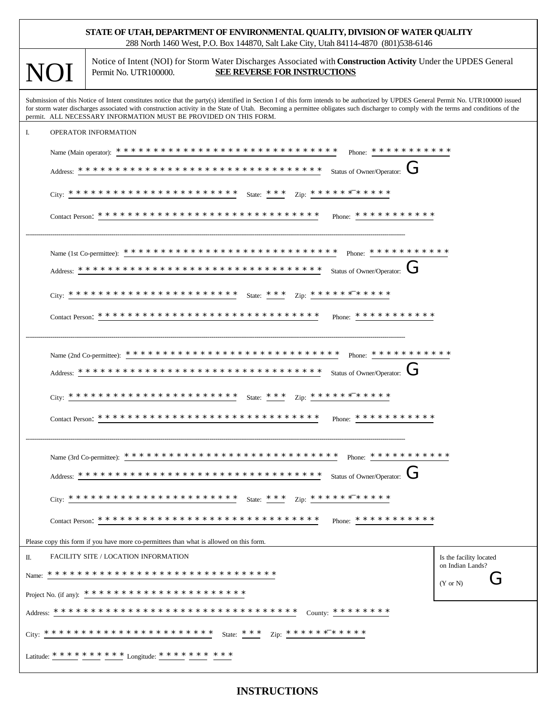| STATE OF UTAH, DEPARTMENT OF ENVIRONMENTAL QUALITY, DIVISION OF WATER QUALITY<br>288 North 1460 West, P.O. Box 144870, Salt Lake City, Utah 84114-4870 (801)538-6146                                                                                                                                                                                                                                                                            |                                                                                                                                                                          |                                             |  |  |  |  |  |
|-------------------------------------------------------------------------------------------------------------------------------------------------------------------------------------------------------------------------------------------------------------------------------------------------------------------------------------------------------------------------------------------------------------------------------------------------|--------------------------------------------------------------------------------------------------------------------------------------------------------------------------|---------------------------------------------|--|--|--|--|--|
|                                                                                                                                                                                                                                                                                                                                                                                                                                                 | Notice of Intent (NOI) for Storm Water Discharges Associated with Construction Activity Under the UPDES General<br>SEE REVERSE FOR INSTRUCTIONS<br>Permit No. UTR100000. |                                             |  |  |  |  |  |
| Submission of this Notice of Intent constitutes notice that the party(s) identified in Section I of this form intends to be authorized by UPDES General Permit No. UTR100000 issued<br>for storm water discharges associated with construction activity in the State of Utah. Becoming a permittee obligates such discharger to comply with the terms and conditions of the<br>permit. ALL NECESSARY INFORMATION MUST BE PROVIDED ON THIS FORM. |                                                                                                                                                                          |                                             |  |  |  |  |  |
| I.                                                                                                                                                                                                                                                                                                                                                                                                                                              | OPERATOR INFORMATION                                                                                                                                                     |                                             |  |  |  |  |  |
|                                                                                                                                                                                                                                                                                                                                                                                                                                                 |                                                                                                                                                                          |                                             |  |  |  |  |  |
|                                                                                                                                                                                                                                                                                                                                                                                                                                                 |                                                                                                                                                                          |                                             |  |  |  |  |  |
|                                                                                                                                                                                                                                                                                                                                                                                                                                                 |                                                                                                                                                                          |                                             |  |  |  |  |  |
|                                                                                                                                                                                                                                                                                                                                                                                                                                                 |                                                                                                                                                                          |                                             |  |  |  |  |  |
|                                                                                                                                                                                                                                                                                                                                                                                                                                                 |                                                                                                                                                                          |                                             |  |  |  |  |  |
|                                                                                                                                                                                                                                                                                                                                                                                                                                                 |                                                                                                                                                                          |                                             |  |  |  |  |  |
|                                                                                                                                                                                                                                                                                                                                                                                                                                                 |                                                                                                                                                                          |                                             |  |  |  |  |  |
|                                                                                                                                                                                                                                                                                                                                                                                                                                                 |                                                                                                                                                                          |                                             |  |  |  |  |  |
|                                                                                                                                                                                                                                                                                                                                                                                                                                                 |                                                                                                                                                                          |                                             |  |  |  |  |  |
| Status of Owner/Operator:                                                                                                                                                                                                                                                                                                                                                                                                                       |                                                                                                                                                                          |                                             |  |  |  |  |  |
|                                                                                                                                                                                                                                                                                                                                                                                                                                                 |                                                                                                                                                                          |                                             |  |  |  |  |  |
|                                                                                                                                                                                                                                                                                                                                                                                                                                                 |                                                                                                                                                                          |                                             |  |  |  |  |  |
|                                                                                                                                                                                                                                                                                                                                                                                                                                                 | Please copy this form if you have more co-permittees than what is allowed on this form.                                                                                  |                                             |  |  |  |  |  |
| П.                                                                                                                                                                                                                                                                                                                                                                                                                                              | FACILITY SITE / LOCATION INFORMATION                                                                                                                                     | Is the facility located<br>on Indian Lands? |  |  |  |  |  |
| Name:<br>$(Y \text{ or } N)$                                                                                                                                                                                                                                                                                                                                                                                                                    |                                                                                                                                                                          |                                             |  |  |  |  |  |
|                                                                                                                                                                                                                                                                                                                                                                                                                                                 |                                                                                                                                                                          |                                             |  |  |  |  |  |
|                                                                                                                                                                                                                                                                                                                                                                                                                                                 |                                                                                                                                                                          |                                             |  |  |  |  |  |
|                                                                                                                                                                                                                                                                                                                                                                                                                                                 |                                                                                                                                                                          |                                             |  |  |  |  |  |

# **INSTRUCTIONS**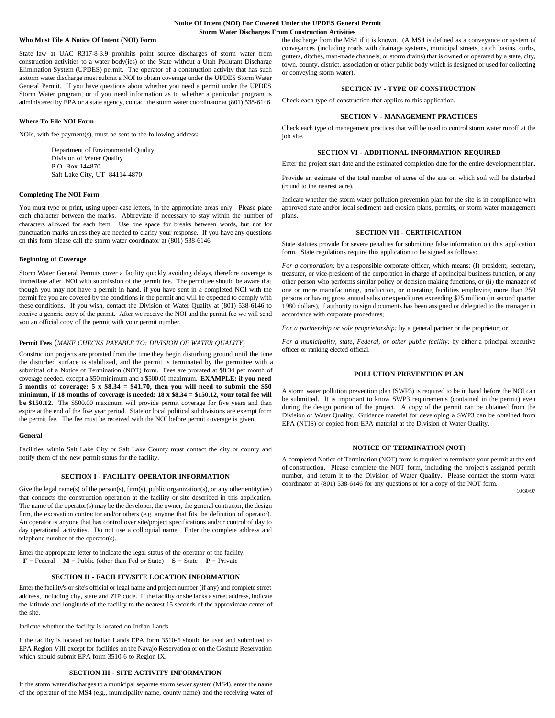#### **Who Must File A Notice Of Intent (NOI) Form**

### **Notice Of Intent (NOI) For Covered Under the UPDES General Permit Storm Water Discharges From Construction Activities**

State law at UAC R317-8-3.9 prohibits point source discharges of storm water from construction activities to a water body(ies) of the State without a Utah Pollutant Discharge Elimination System (UPDES) permit. The operator of a construction activity that has such a storm water discharge must submit a NOI to obtain coverage under the UPDES Storm Water General Permit. If you have questions about whether you need a permit under the UPDES Storm Water program, or if you need information as to whether a particular program is administered by EPA or a state agency, contact the storm water coordinator at (801) 538-6146.

#### **Where To File NOI Form**

NOIs, with fee payment(s), must be sent to the following address:

Department of Environmental Quality Division of Water Quality P.O. Box 144870 Salt Lake City, UT 84114-4870

#### **Completing The NOI Form**

You must type or print, using upper-case letters, in the appropriate areas only. Please place each character between the marks. Abbreviate if necessary to stay within the number of characters allowed for each item. Use one space for breaks between words, but not for punctuation marks unless they are needed to clarify your response. If you have any questions on this form please call the storm water coordinator at (801) 538-6146.

#### **Beginning of Coverage**

Storm Water General Permits cover a facility quickly avoiding delays, therefore coverage is immediate after NOI with submission of the permit fee. The permittee should be aware that though you may not have a permit in hand, if you have sent in a completed NOI with the permit fee you are covered by the conditions in the permit and will be expected to comply with these conditions. If you wish, contact the Division of Water Quality at (801) 538-6146 to receive a generic copy of the permit. After we receive the NOI and the permit fee we will send you an official copy of the permit with your permit number.

### **Permit Fees** (*MAKE CHECKS PAYABLE TO: DIVISION OF WATER QUALITY*)

Construction projects are prorated from the time they begin disturbing ground until the time the disturbed surface is stabilized, and the permit is terminated by the permittee with a submittal of a Notice of Termination (NOT) form. Fees are prorated at \$8.34 per month of coverage needed, except a \$50 minimum and a \$500.00 maximum. **EXAMPLE: if you need 5 months of coverage: 5 x \$8.34 = \$41.70, then you will need to submit the \$50 minimum, if 18 months of coverage is needed: 18 x \$8.34 = \$150.12, your total fee will be \$150.12.** The \$500.00 maximum will provide permit coverage for five years and then expire at the end of the five year period. State or local political subdivisions are exempt from the permit fee. The fee must be received with the NOI before permit coverage is given.

#### **General**

Facilities within Salt Lake City or Salt Lake County must contact the city or county and notify them of the new permit status for the facility.

### **SECTION I - FACILITY OPERATOR INFORMATION**

Give the legal name(s) of the person(s), firm(s), public organization(s), or any other entity(ies) that conducts the construction operation at the facility or site described in this application. The name of the operator(s) may be the developer, the owner, the general contractor, the design firm, the excavation contractor and/or others (e.g. anyone that fits the definition of operator). An operator is anyone that has control over site/project specifications and/or control of day to day operational activities. Do not use a colloquial name. Enter the complete address and telephone number of the operator(s).

Enter the appropriate letter to indicate the legal status of the operator of the facility.  $$ 

### **SECTION II - FACILITY/SITE LOCATION INFORMATION**

Enter the facility's or site's official or legal name and project number (if any) and complete street address, including city, state and ZIP code. If the facility or site lacks a street address, indicate the latitude and longitude of the facility to the nearest 15 seconds of the approximate center of the site.

Indicate whether the facility is located on Indian Lands.

If the facility is located on Indian Lands EPA form 3510-6 should be used and submitted to EPA Region VIII except for facilities on the Navajo Reservation or on the Goshute Reservation which should submit EPA form 3510-6 to Region IX.

### **SECTION III - SITE ACTIVITY INFORMATION**

If the storm water discharges to a municipal separate storm sewer system (MS4), enter the name of the operator of the MS4 (e.g., municipality name, county name) and the receiving water of the discharge from the MS4 if it is known. (A MS4 is defined as a conveyance or system of conveyances (including roads with drainage systems, municipal streets, catch basins, curbs, gutters, ditches, man-made channels, or storm drains) that is owned or operated by a state, city, town, county, district, association or other public body which is designed or used for collecting or conveying storm water).

### **SECTION IV - TYPE OF CONSTRUCTION**

Check each type of construction that applies to this application.

#### **SECTION V - MANAGEMENT PRACTICES**

Check each type of management practices that will be used to control storm water runoff at the job site.

#### **SECTION VI - ADDITIONAL INFORMATION REQUIRED**

Enter the project start date and the estimated completion date for the entire development plan.

Provide an estimate of the total number of acres of the site on which soil will be disturbed (round to the nearest acre).

Indicate whether the storm water pollution prevention plan for the site is in compliance with approved state and/or local sediment and erosion plans, permits, or storm water management plans.

### **SECTION VII - CERTIFICATION**

State statutes provide for severe penalties for submitting false information on this application form. State regulations require this application to be signed as follows:

*For a corporation:* by a responsible corporate officer, which means: (I) president, secretary, treasurer, or vice-president of the corporation in charge of a principal business function, or any other person who performs similar policy or decision making functions, or (ii) the manager of one or more manufacturing, production, or operating facilities employing more than 250 persons or having gross annual sales or expenditures exceeding \$25 million (in second quarter 1980 dollars), if authority to sign documents has been assigned or delegated to the manager in accordance with corporate procedures;

*For a partnership or sole proprietorship:* by a general partner or the proprietor; or

*For a municipality, state, Federal, or other public facility:* by either a principal executive officer or ranking elected official.

### **POLLUTION PREVENTION PLAN**

A storm water pollution prevention plan (SWP3) is required to be in hand before the NOI can be submitted. It is important to know SWP3 requirements (contained in the permit) even during the design portion of the project. A copy of the permit can be obtained from the Division of Water Quality. Guidance material for developing a SWP3 can be obtained from EPA (NTIS) or copied from EPA material at the Division of Water Quality.

### **NOTICE OF TERMINATION (NOT)**

A completed Notice of Termination (NOT) form is required to terminate your permit at the end of construction. Please complete the NOT form, including the project's assigned permit number, and return it to the Division of Water Quality. Please contact the storm water coordinator at (801) 538-6146 for any questions or for a copy of the NOT form.

10/30/97